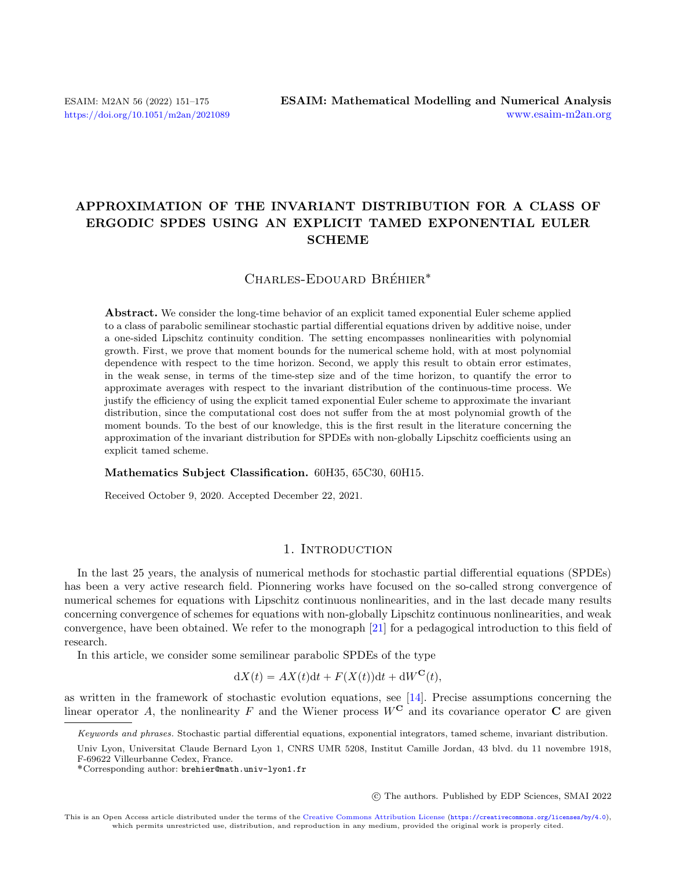# APPROXIMATION OF THE INVARIANT DISTRIBUTION FOR A CLASS OF ERGODIC SPDES USING AN EXPLICIT TAMED EXPONENTIAL EULER **SCHEME**

# CHARLES-EDOUARD BRÉHIER<sup>\*</sup>

Abstract. We consider the long-time behavior of an explicit tamed exponential Euler scheme applied to a class of parabolic semilinear stochastic partial differential equations driven by additive noise, under a one-sided Lipschitz continuity condition. The setting encompasses nonlinearities with polynomial growth. First, we prove that moment bounds for the numerical scheme hold, with at most polynomial dependence with respect to the time horizon. Second, we apply this result to obtain error estimates, in the weak sense, in terms of the time-step size and of the time horizon, to quantify the error to approximate averages with respect to the invariant distribution of the continuous-time process. We justify the efficiency of using the explicit tamed exponential Euler scheme to approximate the invariant distribution, since the computational cost does not suffer from the at most polynomial growth of the moment bounds. To the best of our knowledge, this is the first result in the literature concerning the approximation of the invariant distribution for SPDEs with non-globally Lipschitz coefficients using an explicit tamed scheme.

#### Mathematics Subject Classification. 60H35, 65C30, 60H15.

Received October 9, 2020. Accepted December 22, 2021.

# 1. INTRODUCTION

In the last 25 years, the analysis of numerical methods for stochastic partial differential equations (SPDEs) has been a very active research field. Pionnering works have focused on the so-called strong convergence of numerical schemes for equations with Lipschitz continuous nonlinearities, and in the last decade many results concerning convergence of schemes for equations with non-globally Lipschitz continuous nonlinearities, and weak convergence, have been obtained. We refer to the monograph [\[21\]](#page-24-0) for a pedagogical introduction to this field of research.

In this article, we consider some semilinear parabolic SPDEs of the type

$$
dX(t) = AX(t)dt + F(X(t))dt + dW^{C}(t),
$$

as written in the framework of stochastic evolution equations, see [\[14\]](#page-24-1). Precise assumptions concerning the linear operator A, the nonlinearity F and the Wiener process  $W^{\mathbf{C}}$  and its covariance operator C are given

○c The authors. Published by EDP Sciences, SMAI 2022

Keywords and phrases. Stochastic partial differential equations, exponential integrators, tamed scheme, invariant distribution.

Univ Lyon, Universitat Claude Bernard Lyon 1, CNRS UMR 5208, Institut Camille Jordan, 43 blvd. du 11 novembre 1918, F-69622 Villeurbanne Cedex, France.

<sup>˚</sup>Corresponding author: [brehier@math.univ-lyon1.fr](mailto:brehier@math.univ-lyon1.fr)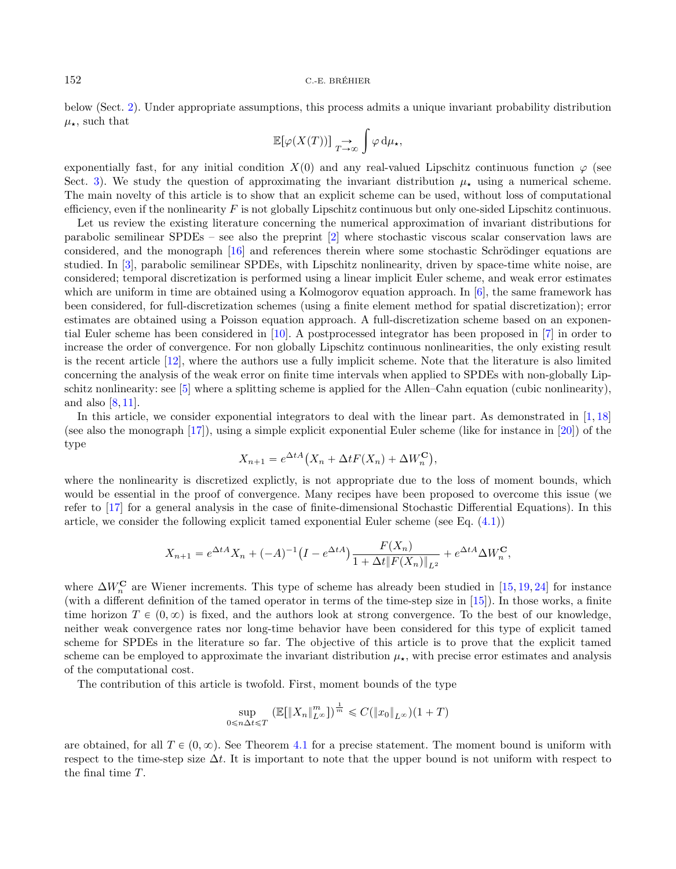below (Sect. [2\)](#page-2-0). Under appropriate assumptions, this process admits a unique invariant probability distribution  $\mu_{\star}$ , such that

$$
\mathbb{E}[\varphi(X(T))] \underset{T \to \infty}{\to} \int \varphi \, \mathrm{d} \mu_{\star},
$$

exponentially fast, for any initial condition  $X(0)$  and any real-valued Lipschitz continuous function  $\varphi$  (see Sect. [3\)](#page-6-0). We study the question of approximating the invariant distribution  $\mu_{\star}$  using a numerical scheme. The main novelty of this article is to show that an explicit scheme can be used, without loss of computational efficiency, even if the nonlinearity  $F$  is not globally Lipschitz continuous but only one-sided Lipschitz continuous.

Let us review the existing literature concerning the numerical approximation of invariant distributions for parabolic semilinear SPDEs – see also the preprint [\[2\]](#page-23-0) where stochastic viscous scalar conservation laws are considered, and the monograph [\[16\]](#page-24-2) and references therein where some stochastic Schrödinger equations are studied. In [\[3\]](#page-23-1), parabolic semilinear SPDEs, with Lipschitz nonlinearity, driven by space-time white noise, are considered; temporal discretization is performed using a linear implicit Euler scheme, and weak error estimates which are uniform in time are obtained using a Kolmogorov equation approach. In [\[6\]](#page-23-2), the same framework has been considered, for full-discretization schemes (using a finite element method for spatial discretization); error estimates are obtained using a Poisson equation approach. A full-discretization scheme based on an exponential Euler scheme has been considered in [\[10\]](#page-23-3). A postprocessed integrator has been proposed in [\[7\]](#page-23-4) in order to increase the order of convergence. For non globally Lipschitz continuous nonlinearities, the only existing result is the recent article [\[12\]](#page-24-3), where the authors use a fully implicit scheme. Note that the literature is also limited concerning the analysis of the weak error on finite time intervals when applied to SPDEs with non-globally Lipschitz nonlinearity: see [\[5\]](#page-23-5) where a splitting scheme is applied for the Allen–Cahn equation (cubic nonlinearity), and also  $[8, 11]$  $[8, 11]$  $[8, 11]$ .

In this article, we consider exponential integrators to deal with the linear part. As demonstrated in  $[1, 18]$  $[1, 18]$  $[1, 18]$ (see also the monograph [\[17\]](#page-24-5)), using a simple explicit exponential Euler scheme (like for instance in [\[20\]](#page-24-6)) of the type Δt  $A$  (  $\mathbf{r}$ 

$$
X_{n+1} = e^{\Delta t A} (X_n + \Delta t F(X_n) + \Delta W_n^{\mathbf{C}}),
$$

where the nonlinearity is discretized explictly, is not appropriate due to the loss of moment bounds, which would be essential in the proof of convergence. Many recipes have been proposed to overcome this issue (we refer to [\[17\]](#page-24-5) for a general analysis in the case of finite-dimensional Stochastic Differential Equations). In this article, we consider the following explicit tamed exponential Euler scheme (see Eq. [\(4.1\)](#page-8-0))

$$
X_{n+1} = e^{\Delta t A} X_n + (-A)^{-1} \left( I - e^{\Delta t A} \right) \frac{F(X_n)}{1 + \Delta t \|F(X_n)\|_{L^2}} + e^{\Delta t A} \Delta W_n^{\mathbf{C}},
$$

where  $\Delta W_n^{\mathbf{C}}$  are Wiener increments. This type of scheme has already been studied in [\[15,](#page-24-7) [19,](#page-24-8) [24\]](#page-24-9) for instance (with a different definition of the tamed operator in terms of the time-step size in [\[15\]](#page-24-7)). In those works, a finite time horizon  $T \in (0, \infty)$  is fixed, and the authors look at strong convergence. To the best of our knowledge, neither weak convergence rates nor long-time behavior have been considered for this type of explicit tamed scheme for SPDEs in the literature so far. The objective of this article is to prove that the explicit tamed scheme can be employed to approximate the invariant distribution  $\mu_{\star}$ , with precise error estimates and analysis of the computational cost.

The contribution of this article is twofold. First, moment bounds of the type

$$
\sup_{0 \le n \Delta t \le T} \left( \mathbb{E}[\|X_n\|_{L^\infty}^m] \right)^{\frac{1}{m}} \le C(\|x_0\|_{L^\infty})(1+T)
$$

are obtained, for all  $T \in (0, \infty)$ . See Theorem [4.1](#page-8-1) for a precise statement. The moment bound is uniform with respect to the time-step size  $\Delta t$ . It is important to note that the upper bound is not uniform with respect to the final time  $T$ .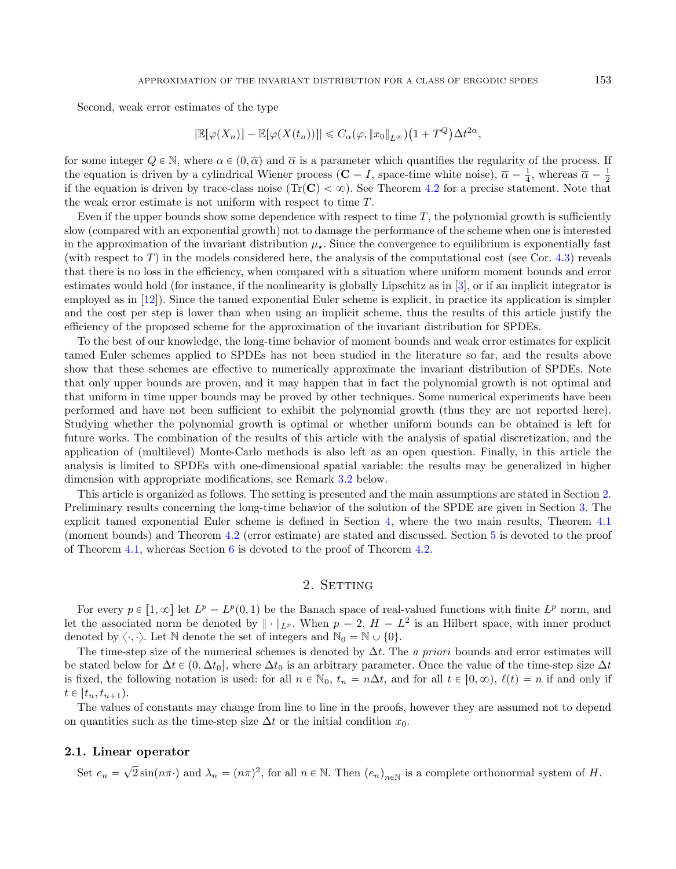Second, weak error estimates of the type

$$
|\mathbb{E}[\varphi(X_n)] - \mathbb{E}[\varphi(X(t_n))]| \leq C_{\alpha}(\varphi, \|x_0\|_{L^{\infty}}) \left(1 + T^Q\right) \Delta t^{2\alpha},
$$

for some integer  $Q \in \mathbb{N}$ , where  $\alpha \in (0, \overline{\alpha})$  and  $\overline{\alpha}$  is a parameter which quantifies the regularity of the process. If the equation is driven by a cylindrical Wiener process ( $C = I$ , space-time white noise),  $\overline{\alpha} = \frac{1}{4}$ , whereas  $\overline{\alpha} = \frac{1}{2}$ if the equation is driven by trace-class noise (Tr(C)  $< \infty$ ). See Theorem [4.2](#page-9-0) for a precise statement. Note that the weak error estimate is not uniform with respect to time  $T$ .

Even if the upper bounds show some dependence with respect to time  $T$ , the polynomial growth is sufficiently slow (compared with an exponential growth) not to damage the performance of the scheme when one is interested in the approximation of the invariant distribution  $\mu_{\star}$ . Since the convergence to equilibrium is exponentially fast (with respect to  $T$ ) in the models considered here, the analysis of the computational cost (see Cor. [4.3\)](#page-9-1) reveals that there is no loss in the efficiency, when compared with a situation where uniform moment bounds and error estimates would hold (for instance, if the nonlinearity is globally Lipschitz as in [\[3\]](#page-23-1), or if an implicit integrator is employed as in [\[12\]](#page-24-3)). Since the tamed exponential Euler scheme is explicit, in practice its application is simpler and the cost per step is lower than when using an implicit scheme, thus the results of this article justify the efficiency of the proposed scheme for the approximation of the invariant distribution for SPDEs.

To the best of our knowledge, the long-time behavior of moment bounds and weak error estimates for explicit tamed Euler schemes applied to SPDEs has not been studied in the literature so far, and the results above show that these schemes are effective to numerically approximate the invariant distribution of SPDEs. Note that only upper bounds are proven, and it may happen that in fact the polynomial growth is not optimal and that uniform in time upper bounds may be proved by other techniques. Some numerical experiments have been performed and have not been sufficient to exhibit the polynomial growth (thus they are not reported here). Studying whether the polynomial growth is optimal or whether uniform bounds can be obtained is left for future works. The combination of the results of this article with the analysis of spatial discretization, and the application of (multilevel) Monte-Carlo methods is also left as an open question. Finally, in this article the analysis is limited to SPDEs with one-dimensional spatial variable: the results may be generalized in higher dimension with appropriate modifications, see Remark [3.2](#page-7-0) below.

This article is organized as follows. The setting is presented and the main assumptions are stated in Section [2.](#page-2-0) Preliminary results concerning the long-time behavior of the solution of the SPDE are given in Section [3.](#page-6-0) The explicit tamed exponential Euler scheme is defined in Section [4,](#page-8-2) where the two main results, Theorem [4.1](#page-8-1) (moment bounds) and Theorem [4.2](#page-9-0) (error estimate) are stated and discussed. Section [5](#page-11-0) is devoted to the proof of Theorem [4.1,](#page-8-1) whereas Section  $6$  is devoted to the proof of Theorem [4.2.](#page-9-0)

# 2. SETTING

<span id="page-2-0"></span>For every  $p \in [1, \infty]$  let  $L^p = L^p(0, 1)$  be the Banach space of real-valued functions with finite  $L^p$  norm, and let the associated norm be denoted by  $\|\cdot\|_{L^p}$ . When  $p=2$ ,  $H=L^2$  is an Hilbert space, with inner product denoted by  $\langle \cdot, \cdot \rangle$ . Let N denote the set of integers and  $\mathbb{N}_0 = \mathbb{N} \cup \{0\}$ .

The time-step size of the numerical schemes is denoted by  $\Delta t$ . The a priori bounds and error estimates will be stated below for  $\Delta t \in (0, \Delta t_0]$ , where  $\Delta t_0$  is an arbitrary parameter. Once the value of the time-step size  $\Delta t$ is fixed, the following notation is used: for all  $n \in \mathbb{N}_0$ ,  $t_n = n\Delta t$ , and for all  $t \in [0, \infty)$ ,  $\ell(t) = n$  if and only if  $t \in [t_n, t_{n+1}).$ 

The values of constants may change from line to line in the proofs, however they are assumed not to depend on quantities such as the time-step size  $\Delta t$  or the initial condition  $x_0$ .

#### 2.1. Linear operator

Set  $e_n = \sqrt{2} \sin(n\pi)$  and  $\lambda_n = (n\pi)^2$ , for all  $n \in \mathbb{N}$ . Then  $(e_n)_{n \in \mathbb{N}}$  is a complete orthonormal system of H.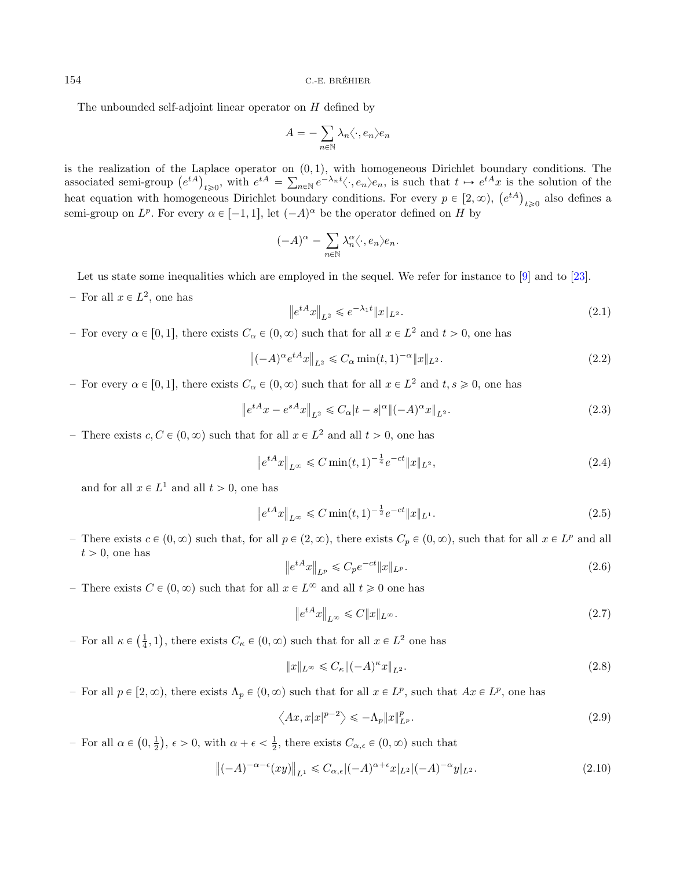The unbounded self-adjoint linear operator on  $H$  defined by

<span id="page-3-8"></span><span id="page-3-1"></span>
$$
A = -\sum_{n \in \mathbb{N}} \lambda_n \langle \cdot, e_n \rangle e_n
$$

is the realization of the Laplace operator on  $(0, 1)$ , with homogeneous Dirichlet boundary conditions. The is the realization of the La<br>associated semi-group  $(e^{tA})$  $\mathcal{L}_{t\geqslant 0}$ , with  $e^{tA} = \sum_{n\in\mathbb{N}} e^{-\lambda_n t} \langle \cdot, e_n \rangle e_n$ , is such that  $t \mapsto e^{tA}x$  is the solution of the associated semi-group  $(e^r)_{t\geq 0}$ , with  $e^r = \sum_{n\in \mathbb{N}} e^{-n} \langle \cdot, e_n \rangle e_n$ , is such that  $t \mapsto e^r x$  is the heat equation with homogeneous Dirichlet boundary conditions. For every  $p \in [2, \infty)$ ,  $(e^{tA})$  $t \geq 0$  also defines a semi-group on  $L^p$ . For every  $\alpha \in [-1, 1]$ , let  $(-A)^{\alpha}$  be the operator defined on H by

<span id="page-3-6"></span>
$$
(-A)^{\alpha} = \sum_{n \in \mathbb{N}} \lambda_n^{\alpha} \langle \cdot, e_n \rangle e_n.
$$

Let us state some inequalities which are employed in the sequel. We refer for instance to [\[9\]](#page-23-9) and to [\[23\]](#page-24-10).

 $-$  For all  $x \in L^2$ , one has

<span id="page-3-7"></span><span id="page-3-3"></span>
$$
\|e^{tA}x\|_{L^2} \leqslant e^{-\lambda_1 t} \|x\|_{L^2}.
$$
\n(2.1)

- For every  $\alpha \in [0, 1]$ , there exists  $C_{\alpha} \in (0, \infty)$  such that for all  $x \in L^2$  and  $t > 0$ , one has

$$
\left\| (-A)^{\alpha} e^{tA} x \right\|_{L^2} \leq C_{\alpha} \min(t, 1)^{-\alpha} \| x \|_{L^2}.
$$
 (2.2)

<span id="page-3-5"></span>- For every  $\alpha \in [0, 1]$ , there exists  $C_{\alpha} \in (0, \infty)$  such that for all  $x \in L^2$  and  $t, s \geqslant 0$ , one has

$$
\left\|e^{tA}x - e^{sA}x\right\|_{L^2} \leq C_{\alpha}|t - s|^{\alpha} \|( - A)^{\alpha}x\|_{L^2}.
$$
\n(2.3)

- There exists  $c, C \in (0, \infty)$  such that for all  $x \in L^2$  and all  $t > 0$ , one has

<span id="page-3-4"></span>
$$
\left\|e^{tA}x\right\|_{L^{\infty}} \leq C \min(t, 1)^{-\frac{1}{4}} e^{-ct} \|x\|_{L^{2}},\tag{2.4}
$$

and for all  $x \in L^1$  and all  $t > 0$ , one has

$$
\left\|e^{tA}x\right\|_{L^{\infty}} \leq C \min(t, 1)^{-\frac{1}{2}} e^{-ct} \|x\|_{L^{1}}.
$$
\n(2.5)

- There exists  $c \in (0, \infty)$  such that, for all  $p \in (2, \infty)$ , there exists  $C_p \in (0, \infty)$ , such that for all  $x \in L^p$  and all  $t > 0$ , one has

<span id="page-3-2"></span>
$$
\|e^{tA}x\|_{L^p} \leq C_p e^{-ct} \|x\|_{L^p}.
$$
\n(2.6)

– There exists  $C \in (0, \infty)$  such that for all  $x \in L^{\infty}$  and all  $t \geq 0$  one has

<span id="page-3-9"></span><span id="page-3-0"></span>
$$
\left\|e^{tA}x\right\|_{L^{\infty}} \leqslant C\|x\|_{L^{\infty}}.\tag{2.7}
$$

– For all  $\kappa \in$  $\left(\frac{1}{4}, 1\right)$ , there exists  $C_{\kappa} \in (0, \infty)$  such that for all  $x \in L^2$  one has

$$
||x||_{L^{\infty}} \leq C_{\kappa} ||(-A)^{\kappa} x||_{L^{2}}.
$$
\n
$$
(2.8)
$$

- For all  $p \in [2, \infty)$ , there exists  $\Lambda_p \in (0, \infty)$  such that for all  $x \in L^p$ , such that  $Ax \in L^p$ , one has

$$
\left\langle Ax, x|x|^{p-2}\right\rangle \leq -\Lambda_p \|x\|_{L^p}^p. \tag{2.9}
$$

– For all  $\alpha \in$  $0, \frac{1}{2}$ ,  $\epsilon > 0$ , with  $\alpha + \epsilon < \frac{1}{2}$ , there exists  $C_{\alpha, \epsilon} \in (0, \infty)$  such that

$$
\left\|(-A)^{-\alpha-\epsilon}(xy)\right\|_{L^1} \leq C_{\alpha,\epsilon}|(-A)^{\alpha+\epsilon}x|_{L^2}|(-A)^{-\alpha}y|_{L^2}.
$$
\n(2.10)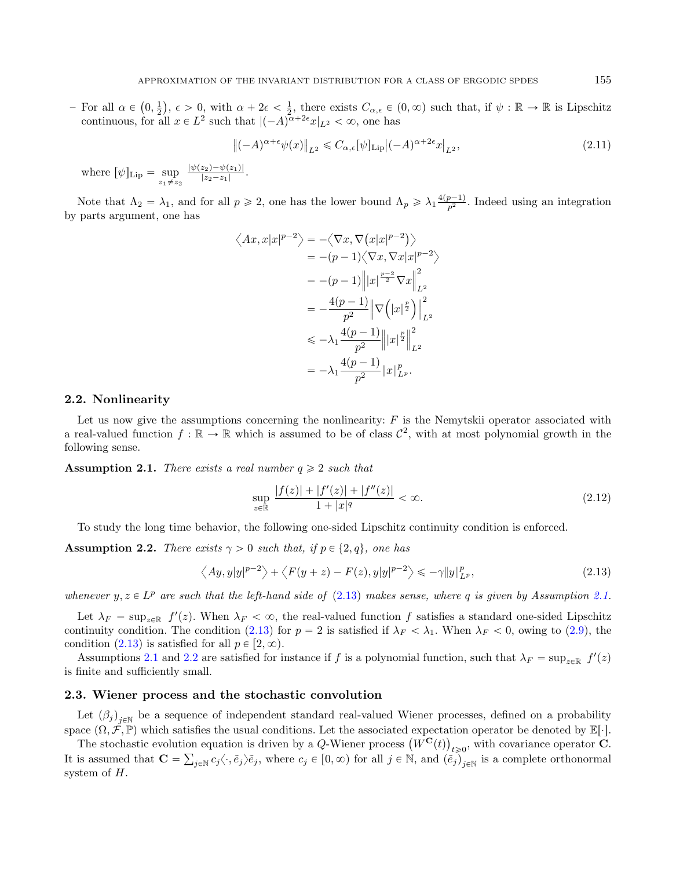– For all  $\alpha \in$  $0, \frac{1}{2}$  $\alpha, \epsilon > 0$ , with  $\alpha + 2\epsilon < \frac{1}{2}$ , there exists  $C_{\alpha,\epsilon} \in (0,\infty)$  such that, if  $\psi : \mathbb{R} \to \mathbb{R}$  is Lipschitz continuous, for all  $x \in L^2$  such that  $|(-A)^{\alpha+2\epsilon}x|_{L^2} < \infty$ , one has

<span id="page-4-3"></span>
$$
\left\|(-A)^{\alpha+\epsilon}\psi(x)\right\|_{L^2} \leq C_{\alpha,\epsilon}[\psi]_{\text{Lip}}|(-A)^{\alpha+2\epsilon}x|_{L^2},\tag{2.11}
$$

where  $[\psi]_{\text{Lip}} = \sup_{z_1 \neq z_2}$  $|\psi(z_2)-\psi(z_1)|$  $\frac{z_2-z_1}{|z_2-z_1|}$ .

Note that  $\Lambda_2 = \lambda_1$ , and for all  $p \ge 2$ , one has the lower bound  $\Lambda_p \ge \lambda_1 \frac{4(p-1)}{p^2}$ . Indeed using an integration by parts argument, one has

<span id="page-4-1"></span>
$$
\langle Ax, x|x|^{p-2}\rangle = -\langle \nabla x, \nabla (x|x|^{p-2})\rangle
$$
  
\n
$$
= -(p-1)\langle \nabla x, \nabla x|x|^{p-2}\rangle
$$
  
\n
$$
= -(p-1)\left\| |x|^{\frac{p-2}{2}} \nabla x \right\|_{L^2}^2
$$
  
\n
$$
= -\frac{4(p-1)}{p^2} \left\| \nabla \left( |x|^{\frac{p}{2}} \right) \right\|_{L^2}^2
$$
  
\n
$$
\le -\lambda_1 \frac{4(p-1)}{p^2} \left\| |x|^{\frac{p}{2}} \right\|_{L^2}^2
$$
  
\n
$$
= -\lambda_1 \frac{4(p-1)}{p^2} \left\| x \right\|_{L^p}^p.
$$

#### 2.2. Nonlinearity

Let us now give the assumptions concerning the nonlinearity:  $F$  is the Nemytskii operator associated with a real-valued function  $f : \mathbb{R} \to \mathbb{R}$  which is assumed to be of class  $\mathcal{C}^2$ , with at most polynomial growth in the following sense.

**Assumption 2.1.** There exists a real number  $q \ge 2$  such that

<span id="page-4-2"></span><span id="page-4-0"></span>
$$
\sup_{z \in \mathbb{R}} \frac{|f(z)| + |f'(z)| + |f''(z)|}{1 + |x|^q} < \infty. \tag{2.12}
$$

To study the long time behavior, the following one-sided Lipschitz continuity condition is enforced.

**Assumption 2.2.** There exists  $\gamma > 0$  such that, if  $p \in \{2, q\}$ , one has

$$
\left\langle Ay, y|y|^{p-2} \right\rangle + \left\langle F(y+z) - F(z), y|y|^{p-2} \right\rangle \le -\gamma \|y\|_{L^p}^p,
$$
\n(2.13)

whenever  $y, z \in L^p$  are such that the left-hand side of  $(2.13)$  makes sense, where q is given by Assumption [2.1.](#page-4-1)

Let  $\lambda_F = \sup_{z \in \mathbb{R}} f'(z)$ . When  $\lambda_F < \infty$ , the real-valued function f satisfies a standard one-sided Lipschitz continuity condition. The condition [\(2.13\)](#page-4-0) for  $p = 2$  is satisfied if  $\lambda_F < \lambda_1$ . When  $\lambda_F < 0$ , owing to [\(2.9\)](#page-3-0), the condition [\(2.13\)](#page-4-0) is satisfied for all  $p \in [2, \infty)$ .

Assumptions [2.1](#page-4-1) and [2.2](#page-4-2) are satisfied for instance if f is a polynomial function, such that  $\lambda_F = \sup_{z \in \mathbb{R}} f'(z)$ is finite and sufficiently small.

## 2.3. Wiener process and the stochastic convolution

Let  $(\beta_j)_{j\in\mathbb{N}}$  be a sequence of independent standard real-valued Wiener processes, defined on a probability space  $(\Omega, \tilde{\mathcal{F}}, \mathbb{P})$  which satisfies the usual conditions. Let the associated expectation operator be denoted by  $\mathbb{E}[\cdot]$ .

ace  $(\Omega, \mathcal{F}, \mathbb{P})$  which satisfies the usual conditions. Let the associated expectation operator be denoted by  $\mathbb{E}[\cdot]$ .<br>The stochastic evolution equation is driven by a Q-Wiener process  $(W^{\mathbf{C}}(t))_{t \geqslant 0}$ , wit It is assumed that  $\mathbf{C} = \sum_{j \in \mathbb{N}} c_j \langle \cdot, \tilde{e}_j \rangle \tilde{e}_j$ , where  $c_j \in [0, \infty)$  for all  $j \in \mathbb{N}$ , and  $(\tilde{e}_j)_{j \in \mathbb{N}}$  is a complete orthonormal system of  $H$ .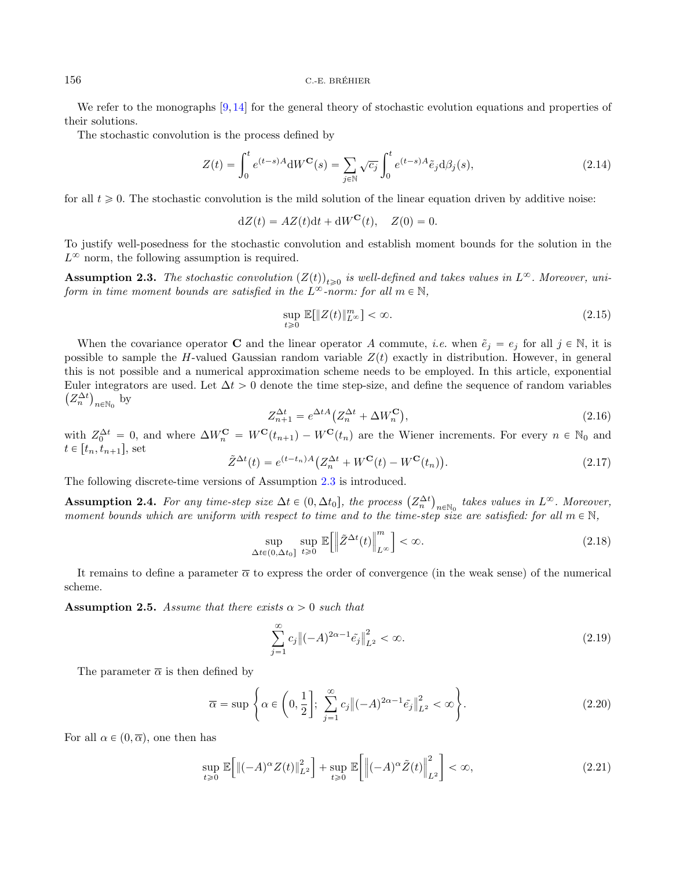We refer to the monographs [\[9,](#page-23-9) [14\]](#page-24-1) for the general theory of stochastic evolution equations and properties of their solutions.

The stochastic convolution is the process defined by

<span id="page-5-8"></span><span id="page-5-0"></span>
$$
Z(t) = \int_0^t e^{(t-s)A} dW^{\mathbf{C}}(s) = \sum_{j \in \mathbb{N}} \sqrt{c_j} \int_0^t e^{(t-s)A} \tilde{e}_j d\beta_j(s), \qquad (2.14)
$$

for all  $t \geq 0$ . The stochastic convolution is the mild solution of the linear equation driven by additive noise:

<span id="page-5-3"></span> $dZ(t) = AZ(t)dt + dW^{C}(t), Z(0) = 0.$ 

<span id="page-5-9"></span>To justify well-posedness for the stochastic convolution and establish moment bounds for the solution in the  $L^{\infty}$  norm, the following assumption is required.

<span id="page-5-7"></span>**Assumption 2.3.** The stochastic convolution  $(Z(t))_{t\geq0}$  is well-defined and takes values in  $L^{\infty}$ . Moreover, uniform in time moment bounds are satisfied in the  $L^{\infty}$ -norm: for all  $m \in \mathbb{N}$ ,

<span id="page-5-6"></span><span id="page-5-4"></span>
$$
\sup_{t\geq 0} \mathbb{E}[\|Z(t)\|_{L^{\infty}}^m] < \infty. \tag{2.15}
$$

When the covariance operator **C** and the linear operator A commute, *i.e.* when  $\tilde{e}_j = e_j$  for all  $j \in \mathbb{N}$ , it is possible to sample the H-valued Gaussian random variable  $Z(t)$  exactly in distribution. However, in general this is not possible and a numerical approximation scheme needs to be employed. In this article, exponential Euler integrators are used. Let  $\Delta t > 0$  denote the time step-size, and define the sequence of random variables  $Z_n^{\Delta t}$ <sub>n∈N<sub>0</sub></sub> by

$$
Z_{n+1}^{\Delta t} = e^{\Delta t A} \left( Z_n^{\Delta t} + \Delta W_n^{\mathbf{C}} \right),\tag{2.16}
$$

<span id="page-5-1"></span>with  $Z_0^{\Delta t} = 0$ , and where  $\Delta W_n^{\mathbf{C}} = W^{\mathbf{C}}(t_{n+1}) - W^{\mathbf{C}}(t_n)$  are the Wiener increments. For every  $n \in \mathbb{N}_0$  and  $t \in [t_n, t_{n+1}],$  set

$$
\tilde{Z}^{\Delta t}(t) = e^{(t-t_n)A} \left( Z_n^{\Delta t} + W^{\mathbf{C}}(t) - W^{\mathbf{C}}(t_n) \right). \tag{2.17}
$$

The following discrete-time versions of Assumption [2.3](#page-5-0) is introduced.

Assumption 2.4. For any time-step size  $\Delta t \in (0, \Delta t_0]$ , the process  $(Z_n^{\Delta t})$  $n \in \mathbb{N}_0$  takes values in  $L^{\infty}$ . Moreover, moment bounds which are uniform with respect to time and to the time-step size are satisfied: for all  $m \in \mathbb{N}$ ,

<span id="page-5-5"></span><span id="page-5-2"></span>
$$
\sup_{\Delta t \in (0,\Delta t_0]} \sup_{t \ge 0} \mathbb{E} \Big[ \Big\| \tilde{Z}^{\Delta t}(t) \Big\|_{L^\infty}^m \Big] < \infty. \tag{2.18}
$$

It remains to define a parameter  $\bar{\alpha}$  to express the order of convergence (in the weak sense) of the numerical scheme.

**Assumption 2.5.** Assume that there exists  $\alpha > 0$  such that

$$
\sum_{j=1}^{\infty} c_j \| (-A)^{2\alpha - 1} \tilde{e}_j \|^2_{L^2} < \infty. \tag{2.19}
$$

The parameter  $\bar{\alpha}$  is then defined by

$$
\overline{\alpha} = \sup \left\{ \alpha \in \left( 0, \frac{1}{2} \right]; \sum_{j=1}^{\infty} c_j \left\| (-A)^{2\alpha - 1} \tilde{e}_j \right\|_{L^2}^2 < \infty \right\}.
$$
\n(2.20)

For all  $\alpha \in (0, \overline{\alpha})$ , one then has

$$
\sup_{t\geq 0} \mathbb{E}\Big[\|(-A)^{\alpha} Z(t)\|_{L^2}^2\Big] + \sup_{t\geq 0} \mathbb{E}\Big[\Big|(-A)^{\alpha} \tilde{Z}(t)\Big|_{L^2}^2\Big] < \infty,\tag{2.21}
$$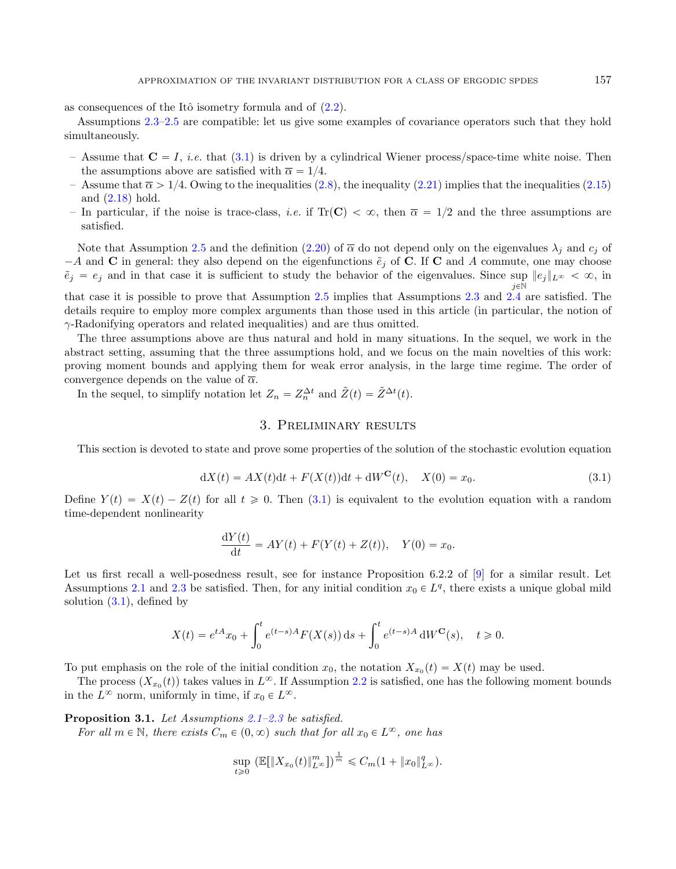as consequences of the Itô isometry formula and of  $(2.2)$ .

Assumptions [2.3](#page-5-0)[–2.5](#page-5-1) are compatible: let us give some examples of covariance operators such that they hold simultaneously.

- Assume that  $C = I$ , *i.e.* that [\(3.1\)](#page-6-1) is driven by a cylindrical Wiener process/space-time white noise. Then the assumptions above are satisfied with  $\bar{\alpha} = 1/4$ .
- Assume that  $\bar{\alpha} > 1/4$ . Owing to the inequalities [\(2.8\)](#page-3-2), the inequality [\(2.21\)](#page-5-2) implies that the inequalities [\(2.15\)](#page-5-3) and [\(2.18\)](#page-5-4) hold.
- In particular, if the noise is trace-class, *i.e.* if Tr(C)  $< \infty$ , then  $\overline{\alpha} = 1/2$  and the three assumptions are satisfied.

Note that Assumption [2.5](#page-5-1) and the definition [\(2.20\)](#page-5-5) of  $\overline{\alpha}$  do not depend only on the eigenvalues  $\lambda_i$  and  $c_i$  of  $-A$  and C in general: they also depend on the eigenfunctions  $\tilde{e}_j$  of C. If C and A commute, one may choose  $\tilde{e}_j = e_j$  and in that case it is sufficient to study the behavior of the eigenvalues. Since sup  $||e_j||_{L^{\infty}} < \infty$ , in  $i\in\mathbb{N}$ 

<span id="page-6-1"></span>that case it is possible to prove that Assumption [2.5](#page-5-1) implies that Assumptions [2.3](#page-5-0) and [2.4](#page-5-6) are satisfied. The details require to employ more complex arguments than those used in this article (in particular, the notion of  $\gamma$ -Radonifying operators and related inequalities) and are thus omitted.

The three assumptions above are thus natural and hold in many situations. In the sequel, we work in the abstract setting, assuming that the three assumptions hold, and we focus on the main novelties of this work: proving moment bounds and applying them for weak error analysis, in the large time regime. The order of convergence depends on the value of  $\bar{\alpha}$ .

In the sequel, to simplify notation let  $Z_n = Z_n^{\Delta t}$  and  $\tilde{Z}(t) = \tilde{Z}^{\Delta t}(t)$ .

# 3. Preliminary results

<span id="page-6-0"></span>This section is devoted to state and prove some properties of the solution of the stochastic evolution equation

$$
dX(t) = AX(t)dt + F(X(t))dt + dWC(t), X(0) = x0.
$$
\n(3.1)

Define  $Y(t) = X(t) - Z(t)$  for all  $t \ge 0$ . Then [\(3.1\)](#page-6-1) is equivalent to the evolution equation with a random time-dependent nonlinearity

<span id="page-6-2"></span>
$$
\frac{dY(t)}{dt} = AY(t) + F(Y(t) + Z(t)), \quad Y(0) = x_0.
$$

Let us first recall a well-posedness result, see for instance Proposition 6.2.2 of [\[9\]](#page-23-9) for a similar result. Let Assumptions [2.1](#page-4-1) and [2.3](#page-5-0) be satisfied. Then, for any initial condition  $x_0 \in L^q$ , there exists a unique global mild solution [\(3.1\)](#page-6-1), defined by

$$
X(t) = e^{tA}x_0 + \int_0^t e^{(t-s)A} F(X(s)) ds + \int_0^t e^{(t-s)A} dW^{\mathbf{C}}(s), \quad t \ge 0.
$$

To put emphasis on the role of the initial condition  $x_0$ , the notation  $X_{x_0}(t) = X(t)$  may be used.

The process  $(X_{x_0}(t))$  takes values in  $L^\infty$ . If Assumption [2.2](#page-4-2) is satisfied, one has the following moment bounds in the  $L^{\infty}$  norm, uniformly in time, if  $x_0 \in L^{\infty}$ .

Proposition 3.1. Let Assumptions [2.1–](#page-4-1)[2.3](#page-5-0) be satisfied.

For all  $m \in \mathbb{N}$ , there exists  $C_m \in (0, \infty)$  such that for all  $x_0 \in L^{\infty}$ , one has

$$
\sup_{t\geq 0} \left( \mathbb{E}[\|X_{x_0}(t)\|_{L^\infty}^m] \right)^{\frac{1}{m}} \leq C_m (1 + \|x_0\|_{L^\infty}^q).
$$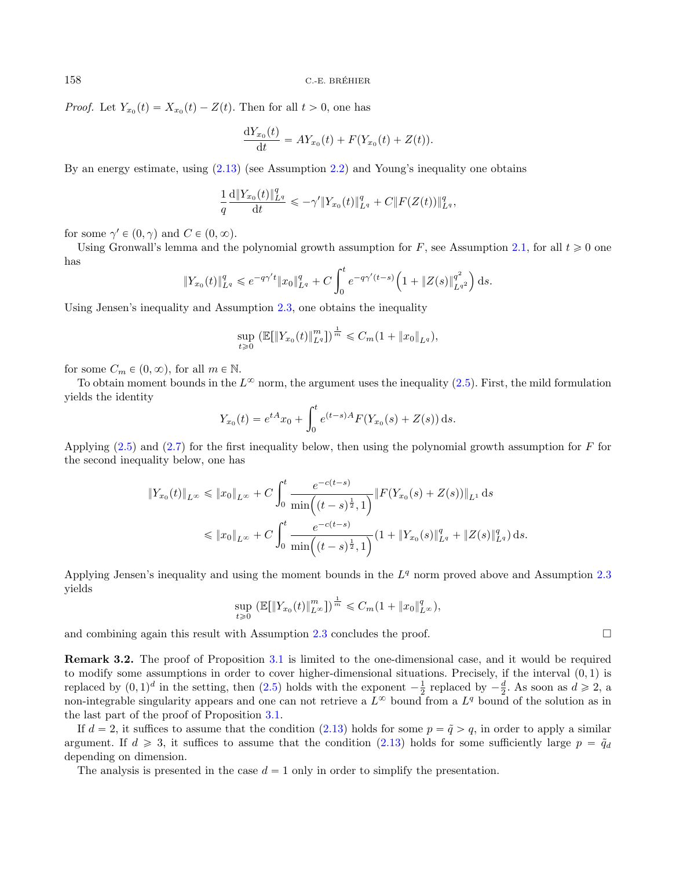*Proof.* Let  $Y_{x_0}(t) = X_{x_0}(t) - Z(t)$ . Then for all  $t > 0$ , one has

$$
\frac{\mathrm{d}Y_{x_0}(t)}{\mathrm{d}t} = AY_{x_0}(t) + F(Y_{x_0}(t) + Z(t)).
$$

By an energy estimate, using [\(2.13\)](#page-4-0) (see Assumption [2.2\)](#page-4-2) and Young's inequality one obtains

$$
\frac{1}{q}\frac{\mathrm{d}\|Y_{x_0}(t)\|_{L^q}^q}{\mathrm{d}t}\leqslant -\gamma'\|Y_{x_0}(t)\|_{L^q}^q+C\|F(Z(t))\|_{L^q}^q,
$$

for some  $\gamma' \in (0, \gamma)$  and  $C \in (0, \infty)$ .

Using Gronwall's lemma and the polynomial growth assumption for F, see Assumption [2.1,](#page-4-1) for all  $t \geq 0$  one has  $\mathbf{r}^t$  $\mathcal{L}$ ¯

$$
||Y_{x_0}(t)||_{L^q}^q \leqslant e^{-q\gamma' t} ||x_0||_{L^q}^q + C \int_0^t e^{-q\gamma'(t-s)} \left(1 + ||Z(s)||_{L^{q^2}}^{q^2}\right) ds.
$$

Using Jensen's inequality and Assumption [2.3,](#page-5-0) one obtains the inequality

$$
\sup_{t\geq 0} \left( \mathbb{E}[\|Y_{x_0}(t)\|_{L^q}^m] \right)^{\frac{1}{m}} \leq C_m (1 + \|x_0\|_{L^q}),
$$

for some  $C_m \in (0, \infty)$ , for all  $m \in \mathbb{N}$ .

To obtain moment bounds in the  $L^{\infty}$  norm, the argument uses the inequality  $(2.5)$ . First, the mild formulation yields the identity

$$
Y_{x_0}(t) = e^{tA}x_0 + \int_0^t e^{(t-s)A} F(Y_{x_0}(s) + Z(s)) ds.
$$

Applying  $(2.5)$  and  $(2.7)$  for the first inequality below, then using the polynomial growth assumption for F for the second inequality below, one has

$$
\begin{aligned} \|Y_{x_0}(t)\|_{L^{\infty}} &\leq \|x_0\|_{L^{\infty}} + C \int_0^t \frac{e^{-c(t-s)}}{\min\left((t-s)^{\frac{1}{2}}, 1\right)} \|F(Y_{x_0}(s) + Z(s))\|_{L^1} \, \mathrm{d}s \\ &\leq \|x_0\|_{L^{\infty}} + C \int_0^t \frac{e^{-c(t-s)}}{\min\left((t-s)^{\frac{1}{2}}, 1\right)} (1 + \|Y_{x_0}(s)\|_{L^q}^q + \|Z(s)\|_{L^q}^q) \, \mathrm{d}s. \end{aligned}
$$

Applying Jensen's inequality and using the moment bounds in the  $L<sup>q</sup>$  norm proved above and Assumption [2.3](#page-5-0) yields

$$
\sup_{t\geq 0} \left( \mathbb{E}[\|Y_{x_0}(t)\|_{L^\infty}^m] \right)^{\frac{1}{m}} \leq C_m (1 + \|x_0\|_{L^\infty}^q),
$$

and combining again this result with Assumption [2.3](#page-5-0) concludes the proof.  $\Box$ 

<span id="page-7-0"></span>Remark 3.2. The proof of Proposition [3.1](#page-6-2) is limited to the one-dimensional case, and it would be required to modify some assumptions in order to cover higher-dimensional situations. Precisely, if the interval  $(0, 1)$  is replaced by  $(0, 1)^d$  in the setting, then  $(2.5)$  holds with the exponent  $-\frac{1}{2}$  replaced by  $-\frac{d}{2}$ . As soon as  $d \ge 2$ , a non-integrable singularity appears and one can not retrieve a  $L^{\infty}$  bound from a  $L^{q}$  bound of the solution as in the last part of the proof of Proposition [3.1.](#page-6-2)

If  $d = 2$ , it suffices to assume that the condition [\(2.13\)](#page-4-0) holds for some  $p = \tilde{q} > q$ , in order to apply a similar argument. If  $d \geq 3$ , it suffices to assume that the condition [\(2.13\)](#page-4-0) holds for some sufficiently large  $p = \tilde{q}_d$ depending on dimension.

The analysis is presented in the case  $d = 1$  only in order to simplify the presentation.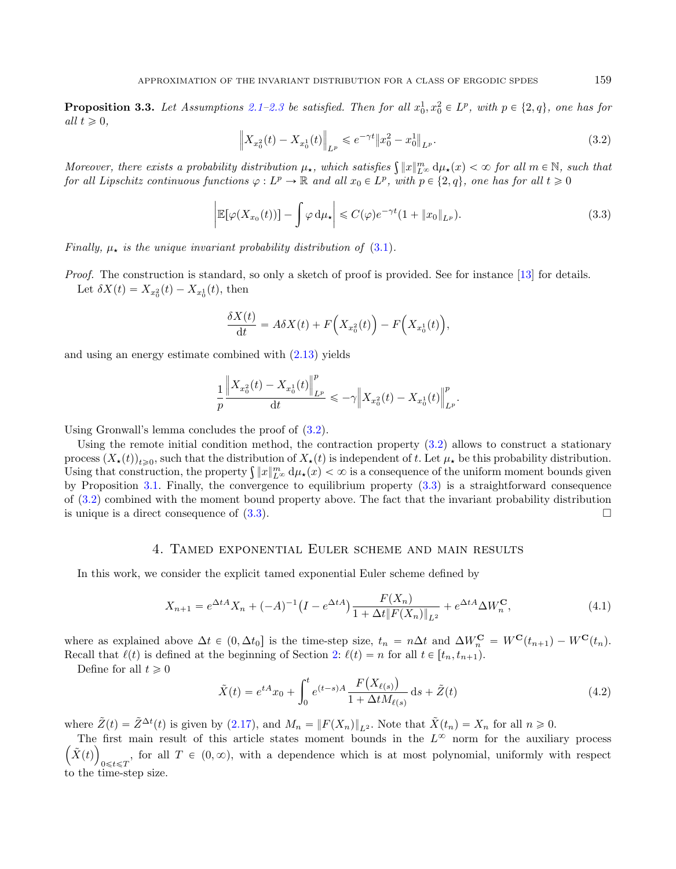<span id="page-8-3"></span>**Proposition 3.3.** Let Assumptions [2.1](#page-4-1)[–2.3](#page-5-0) be satisfied. Then for all  $x_0^1, x_0^2 \in L^p$ , with  $p \in \{2, q\}$ , one has for all  $t \geqslant 0$ , › › ›

<span id="page-8-4"></span>
$$
\left\|X_{x_0^2}(t) - X_{x_0^1}(t)\right\|_{L^p} \leqslant e^{-\gamma t} \left\|x_0^2 - x_0^1\right\|_{L^p}.
$$
\n(3.2)

Moreover, there exists a probability distribution  $\mu_{\star}$ , which satisfies  $\int ||x||_{L^{\infty}}^{m} d\mu_{\star}(x) < \infty$  for all  $m \in \mathbb{N}$ , such that for all Lipschitz continuous functions  $\varphi: L^p \to \mathbb{R}$  and all  $x_0 \in L^p$ , with  $p \in \{2, q\}$ , one has for all  $t \geq 0$ 

$$
\left| \mathbb{E}[\varphi(X_{x_0}(t))] - \int \varphi \, \mathrm{d}\mu_\star \right| \leqslant C(\varphi) e^{-\gamma t} (1 + \|x_0\|_{L^p}). \tag{3.3}
$$

Finally,  $\mu_{\star}$  is the unique invariant probability distribution of [\(3.1\)](#page-6-1).

Proof. The construction is standard, so only a sketch of proof is provided. See for instance [\[13\]](#page-24-11) for details. Let  $\delta X(t) = X_{x_0^2}(t) - X_{x_0^1}(t)$ , then

$$
\frac{\delta X(t)}{\mathrm{d}t} = A\delta X(t) + F\Big(X_{x_0^2}(t)\Big) - F\Big(X_{x_0^1}(t)\Big),
$$

and using an energy estimate combined with [\(2.13\)](#page-4-0) yields

›

$$
\frac{1}{p}\frac{\left\|X_{x_0^2}(t)-X_{x_0^1}(t)\right\|_{L^p}^p}{\mathrm{d}t}\leqslant -\gamma\left\|X_{x_0^2}(t)-X_{x_0^1}(t)\right\|_{L^p}^p.
$$

<span id="page-8-0"></span>›

Using Gronwall's lemma concludes the proof of [\(3.2\)](#page-8-3).

Using the remote initial condition method, the contraction property [\(3.2\)](#page-8-3) allows to construct a stationary process  $(X_\star(t))_{t\geqslant0}$ , such that the distribution of  $X_\star(t)$  is independent of t. Let  $\mu_\star$  be this probability distribution. process  $(X_{\star}(t))_{t\geqslant0}$ , such that the distribution of  $X_{\star}(t)$  is independent of t. Let  $\mu_{\star}$  be this probability distribution.<br>Using that construction, the property  $\int ||x||_{L^{\infty}}^{m} d\mu_{\star}(x) < \infty$  is a consequence by Proposition [3.1.](#page-6-2) Finally, the convergence to equilibrium property [\(3.3\)](#page-8-4) is a straightforward consequence of [\(3.2\)](#page-8-3) combined with the moment bound property above. The fact that the invariant probability distribution is unique is a direct consequence of  $(3.3)$ .

#### <span id="page-8-5"></span>4. Tamed exponential Euler scheme and main results

<span id="page-8-2"></span>In this work, we consider the explicit tamed exponential Euler scheme defined by

<span id="page-8-1"></span>
$$
X_{n+1} = e^{\Delta t A} X_n + (-A)^{-1} \left( I - e^{\Delta t A} \right) \frac{F(X_n)}{1 + \Delta t \| F(X_n) \|_{L^2}} + e^{\Delta t A} \Delta W_n^{\mathbf{C}},\tag{4.1}
$$

where as explained above  $\Delta t \in (0, \Delta t_0]$  is the time-step size,  $t_n = n\Delta t$  and  $\Delta W_n^{\mathbf{C}} = W^{\mathbf{C}}(t_{n+1}) - W^{\mathbf{C}}(t_n)$ . Recall that  $\ell(t)$  is defined at the beginning of Section [2:](#page-2-0)  $\ell(t) = n$  for all  $t \in [t_n, t_{n+1})$ .

Define for all  $t \geq 0$ 

$$
\tilde{X}(t) = e^{tA}x_0 + \int_0^t e^{(t-s)A} \frac{F(X_{\ell(s)})}{1 + \Delta t M_{\ell(s)}} ds + \tilde{Z}(t)
$$
\n(4.2)

where  $\tilde{Z}(t) = \tilde{Z}^{\Delta t}(t)$  is given by [\(2.17\)](#page-5-7), and  $M_n = ||F(X_n)||_{L^2}$ . Note that  $\tilde{X}(t_n) = X_n$  for all  $n \geq 0$ .

The first main result of this article states moment bounds in the  $L^{\infty}$  norm for the auxiliary process  $\tilde{X}(t)$ <sub>0≤t ≤T</sub>, for all  $T \in (0, \infty)$ , with a dependence which is at most polynomial, uniformly with respect to the time-step size.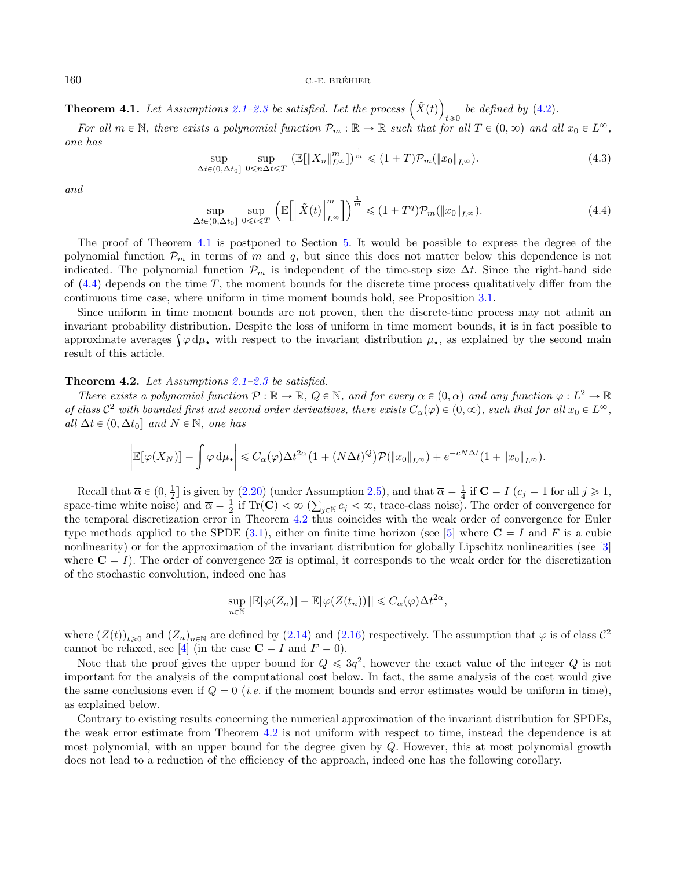**Theorem 4.1.** Let Assumptions [2.1–](#page-4-1)[2.3](#page-5-0) be satisfied. Let the process  $(\tilde{X}(t))$  $e^{i\epsilon}$  be defined by [\(4.2\)](#page-8-5).

For all  $m \in \mathbb{N}$ , there exists a polynomial function  $\mathcal{P}_m : \mathbb{R} \to \mathbb{R}$  such that for all  $T \in (0, \infty)$  and all  $x_0 \in L^{\infty}$ , one has

$$
\sup_{\Delta t \in (0,\Delta t_0]} \sup_{0 \le n\Delta t \le T} \left( \mathbb{E}[\|X_n\|_{L^\infty}^m] \right)^{\frac{1}{m}} \le (1+T)\mathcal{P}_m(\|x_0\|_{L^\infty}).\tag{4.3}
$$

and

$$
\sup_{\Delta t \in (0,\Delta t_0]} \sup_{0 \le t \le T} \left( \mathbb{E} \left[ \left\| \tilde{X}(t) \right\|_{L^\infty}^m \right] \right)^{\frac{1}{m}} \le (1+T^q) \mathcal{P}_m(\|x_0\|_{L^\infty}). \tag{4.4}
$$

The proof of Theorem [4.1](#page-8-1) is postponed to Section [5.](#page-11-0) It would be possible to express the degree of the polynomial function  $\mathcal{P}_m$  in terms of m and q, but since this does not matter below this dependence is not indicated. The polynomial function  $\mathcal{P}_m$  is independent of the time-step size  $\Delta t$ . Since the right-hand side of  $(4.4)$  depends on the time T, the moment bounds for the discrete time process qualitatively differ from the continuous time case, where uniform in time moment bounds hold, see Proposition [3.1.](#page-6-2)

Since uniform in time moment bounds are not proven, then the discrete-time process may not admit an invariant probability distribution. Despite the loss of uniform in time moment bounds, it is in fact possible to mvariant probability distribution. Despite the loss of uniform in time moment bounds, it is in fact possible to approximate averages  $\int \varphi d\mu_{\star}$  with respect to the invariant distribution  $\mu_{\star}$ , as explained by the result of this article.

<span id="page-9-0"></span>Theorem 4.2. Let Assumptions [2.1–](#page-4-1)[2.3](#page-5-0) be satisfied.

There exists a polynomial function  $\mathcal{P} : \mathbb{R} \to \mathbb{R}$ ,  $Q \in \mathbb{N}$ , and for every  $\alpha \in (0, \overline{\alpha})$  and any function  $\varphi : L^2 \to \mathbb{R}$ of class  $\mathcal{C}^2$  with bounded first and second order derivatives, there exists  $C_\alpha(\varphi) \in (0,\infty)$ , such that for all  $x_0 \in L^\infty$ , all  $\Delta t \in (0, \Delta t_0]$  and  $N \in \mathbb{N}$ , one has

$$
\left| \mathbb{E}[\varphi(X_N)] - \int \varphi \, d\mu_{\star} \right| \leq C_{\alpha}(\varphi) \Delta t^{2\alpha} \left( 1 + (N \Delta t)^Q \right) \mathcal{P}(\|x_0\|_{L^{\infty}}) + e^{-cN\Delta t} (1 + \|x_0\|_{L^{\infty}}).
$$

Recall that  $\overline{\alpha} \in (0, \frac{1}{2}]$  is given by  $(2.20)$  (under Assumption [2.5\)](#page-5-1), and that  $\overline{\alpha} = \frac{1}{4}$  if  $\mathbf{C} = I$   $(c_j = 1$  for all  $j \geq 1$ , space-time white noise) and  $\overline{\alpha} = \frac{1}{2}$  if  $\text{Tr}(\mathbf{C}) < \infty$  ( $\sum_{j \in \mathbb{N}} c_j < \infty$ , trace-class noise). The order of convergence for the temporal discretization error in Theorem [4.2](#page-9-0) thus coincides with the weak order of convergence for Euler type methods applied to the SPDE [\(3.1\)](#page-6-1), either on finite time horizon (see [\[5\]](#page-23-5) where  $\mathbf{C} = I$  and F is a cubic nonlinearity) or for the approximation of the invariant distribution for globally Lipschitz nonlinearities (see [\[3\]](#page-23-1) where  $C = I$ ). The order of convergence  $2\overline{\alpha}$  is optimal, it corresponds to the weak order for the discretization of the stochastic convolution, indeed one has

<span id="page-9-1"></span>
$$
\sup_{n\in\mathbb{N}}\left|\mathbb{E}[\varphi(Z_n)]-\mathbb{E}[\varphi(Z(t_n))]\right|\leqslant C_{\alpha}(\varphi)\Delta t^{2\alpha},
$$

where  $(Z(t))_{t\geqslant0}$  and  $(Z_n)_{n\in\mathbb{N}}$  are defined by  $(2.14)$  and  $(2.16)$  respectively. The assumption that  $\varphi$  is of class  $\mathcal{C}^2$ cannot be relaxed, see [\[4\]](#page-23-10) (in the case  $\mathbf{C} = I$  and  $F = 0$ ).

Note that the proof gives the upper bound for  $Q \leq 3q^2$ , however the exact value of the integer Q is not important for the analysis of the computational cost below. In fact, the same analysis of the cost would give the same conclusions even if  $Q = 0$  (*i.e.* if the moment bounds and error estimates would be uniform in time), as explained below.

Contrary to existing results concerning the numerical approximation of the invariant distribution for SPDEs, the weak error estimate from Theorem [4.2](#page-9-0) is not uniform with respect to time, instead the dependence is at most polynomial, with an upper bound for the degree given by Q. However, this at most polynomial growth does not lead to a reduction of the efficiency of the approach, indeed one has the following corollary.

<span id="page-9-3"></span><span id="page-9-2"></span>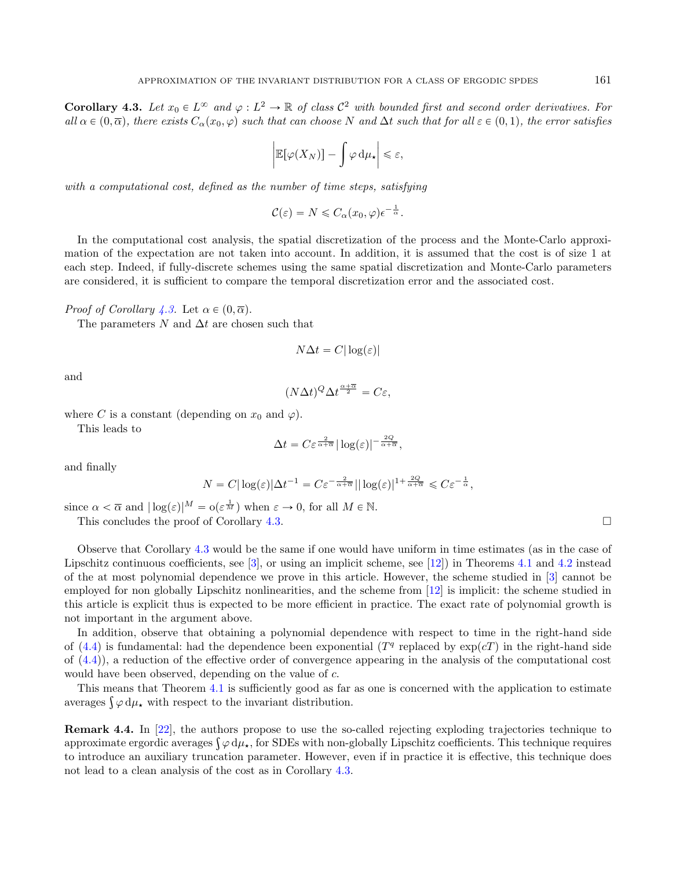**Corollary 4.3.** Let  $x_0 \in L^\infty$  and  $\varphi : L^2 \to \mathbb{R}$  of class  $\mathcal{C}^2$  with bounded first and second order derivatives. For all  $\alpha$  ∈  $(0, \overline{\alpha})$ , there exists  $C_{\alpha}(x_0, \varphi)$  such that can choose N and  $\Delta t$  such that for all  $\varepsilon$  ∈  $(0, 1)$ , the error satisfies

$$
\left|\mathbb{E}[\varphi(X_N)]-\int \varphi \, \mathrm{d}\mu_\star\right|\leqslant \varepsilon,
$$

with a computational cost, defined as the number of time steps, satisfying

 $\mathcal{C}(\varepsilon) = N \leqslant C_{\alpha}(x_0, \varphi) \epsilon^{-\frac{1}{\alpha}}.$ 

In the computational cost analysis, the spatial discretization of the process and the Monte-Carlo approximation of the expectation are not taken into account. In addition, it is assumed that the cost is of size 1 at each step. Indeed, if fully-discrete schemes using the same spatial discretization and Monte-Carlo parameters are considered, it is sufficient to compare the temporal discretization error and the associated cost.

*Proof of Corollary [4.3.](#page-9-1)* Let  $\alpha \in (0, \overline{\alpha})$ .

The parameters  $N$  and  $\Delta t$  are chosen such that

$$
N\Delta t = C|\log(\varepsilon)|
$$

and

$$
(N\Delta t)^{Q}\Delta t^{\frac{\alpha+\overline{\alpha}}{2}} = C\varepsilon,
$$

where C is a constant (depending on  $x_0$  and  $\varphi$ ).

This leads to

$$
\Delta t = C \varepsilon^{\frac{2}{\alpha + \overline{\alpha}}} |\log(\varepsilon)|^{-\frac{2Q}{\alpha + \overline{\alpha}}},
$$

and finally

$$
N = C|\log(\varepsilon)|\Delta t^{-1} = C\varepsilon^{-\frac{2}{\alpha+\overline{\alpha}}}||\log(\varepsilon)|^{1+\frac{2Q}{\alpha+\overline{\alpha}}} \leqslant C\varepsilon^{-\frac{1}{\alpha}},
$$

since  $\alpha < \overline{\alpha}$  and  $|\log(\varepsilon)|^M = o(\varepsilon^{\frac{1}{M}})$  when  $\varepsilon \to 0$ , for all  $M \in \mathbb{N}$ . This concludes the proof of Corollary [4.3.](#page-9-1)

Observe that Corollary [4.3](#page-9-1) would be the same if one would have uniform in time estimates (as in the case of Lipschitz continuous coefficients, see [\[3\]](#page-23-1), or using an implicit scheme, see [\[12\]](#page-24-3)) in Theorems [4.1](#page-8-1) and [4.2](#page-9-0) instead of the at most polynomial dependence we prove in this article. However, the scheme studied in [\[3\]](#page-23-1) cannot be employed for non globally Lipschitz nonlinearities, and the scheme from [\[12\]](#page-24-3) is implicit: the scheme studied in this article is explicit thus is expected to be more efficient in practice. The exact rate of polynomial growth is not important in the argument above.

In addition, observe that obtaining a polynomial dependence with respect to time in the right-hand side of [\(4.4\)](#page-9-2) is fundamental: had the dependence been exponential ( $T<sup>q</sup>$  replaced by  $\exp(cT)$  in the right-hand side of  $(4.4)$ , a reduction of the effective order of convergence appearing in the analysis of the computational cost would have been observed, depending on the value of  $c$ .

This means that Theorem [4.1](#page-8-1) is sufficiently good as far as one is concerned with the application to estimate This means that Theorem 4.1 is sufficiently good as far<br>averages  $\int \varphi \, d\mu_{\star}$  with respect to the invariant distribution.

Remark 4.4. In [\[22\]](#page-24-12), the authors propose to use the so-called rejecting exploding trajectories technique to **Remark 4.4.** In [22], the authors propose to use the so-called rejecting exploding trajectories technique to approximate ergordic averages  $\int \varphi \, d\mu_\star$ , for SDEs with non-globally Lipschitz coefficients. This technique to introduce an auxiliary truncation parameter. However, even if in practice it is effective, this technique does not lead to a clean analysis of the cost as in Corollary [4.3.](#page-9-1)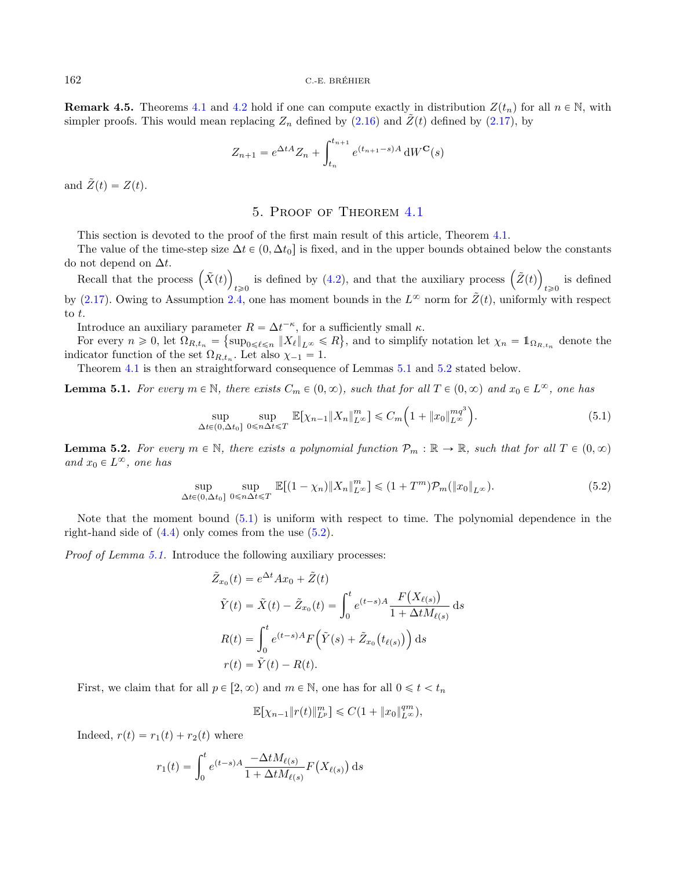**Remark 4.5.** Theorems [4.1](#page-8-1) and [4.2](#page-9-0) hold if one can compute exactly in distribution  $Z(t_n)$  for all  $n \in \mathbb{N}$ , with simpler proofs. This would mean replacing  $Z_n$  defined by [\(2.16\)](#page-5-9) and  $\tilde{Z}(t)$  defined by [\(2.17\)](#page-5-7), by

$$
Z_{n+1} = e^{\Delta t A} Z_n + \int_{t_n}^{t_{n+1}} e^{(t_{n+1} - s)A} dW^{\mathbf{C}}(s)
$$

<span id="page-11-0"></span>and  $\tilde{Z}(t) = Z(t)$ .

# 5. Proof of Theorem [4.1](#page-8-1)

This section is devoted to the proof of the first main result of this article, Theorem [4.1.](#page-8-1)

The value of the time-step size  $\Delta t \in (0, \Delta t_0]$  is fixed, and in the upper bounds obtained below the constants do not depend on  $\Delta t$ .

not depend on  $\Delta t$ .<br>Recall that the process  $(\tilde{X}(t))$ is defined by [\(4.2\)](#page-8-5), and that the auxiliary process  $(\tilde{Z}(t))$ is defined<br> $t \ge 0$ by [\(2.17\)](#page-5-7). Owing to Assumption [2.4,](#page-5-6) one has moment bounds in the  $L^{\infty}$  norm for  $\tilde{Z}(t)$ , uniformly with respect to  $t$ .

<span id="page-11-4"></span>Introduce an auxiliary parameter  $R = \Delta t^{-\kappa}$ , for a sufficiently small  $\kappa$ .

For every  $n \geq 0$ , let  $\Omega_{R,t_n} = {\text{sup}_{0 \leq \ell \leq n} ||X_{\ell}||_{L^{\infty}} \leq R}$ , and to simplify notation let  $\chi_n = \mathbb{1}_{\Omega_{R,t_n}}$  denote the indicator function of the set  $\Omega_{R,t_n}$ . Let also  $\chi_{-1} = 1$ .

Theorem [4.1](#page-8-1) is then an straightforward consequence of Lemmas [5.1](#page-11-1) and [5.2](#page-11-2) stated below.

**Lemma 5.1.** For every  $m \in \mathbb{N}$ , there exists  $C_m \in (0, \infty)$ , such that for all  $T \in (0, \infty)$  and  $x_0 \in L^{\infty}$ , one has

$$
\sup_{\Delta t \in (0,\Delta t_0]} \sup_{0 \le n\Delta t \le T} \mathbb{E}[\chi_{n-1} \|X_n\|_{L^\infty}^m] \le C_m \Big(1 + \|x_0\|_{L^\infty}^{mq^3}\Big). \tag{5.1}
$$

<span id="page-11-3"></span><span id="page-11-1"></span>¯

<span id="page-11-2"></span>**Lemma 5.2.** For every  $m \in \mathbb{N}$ , there exists a polynomial function  $\mathcal{P}_m : \mathbb{R} \to \mathbb{R}$ , such that for all  $T \in (0, \infty)$ and  $x_0 \in L^{\infty}$ , one has

$$
\sup_{\Delta t \in (0,\Delta t_0]} \sup_{0 \le n\Delta t \le T} \mathbb{E}[(1-\chi_n) \|X_n\|_{L^\infty}^m] \le (1+T^m)\mathcal{P}_m(\|x_0\|_{L^\infty}).\tag{5.2}
$$

Note that the moment bound [\(5.1\)](#page-11-3) is uniform with respect to time. The polynomial dependence in the right-hand side of  $(4.4)$  only comes from the use  $(5.2)$ .

Proof of Lemma [5.1.](#page-11-1) Introduce the following auxiliary processes:

$$
\tilde{Z}_{x_0}(t) = e^{\Delta t} A x_0 + \tilde{Z}(t)
$$
\n
$$
\tilde{Y}(t) = \tilde{X}(t) - \tilde{Z}_{x_0}(t) = \int_0^t e^{(t-s)A} \frac{F(X_{\ell(s)})}{1 + \Delta t M_{\ell(s)}} ds
$$
\n
$$
R(t) = \int_0^t e^{(t-s)A} F(\tilde{Y}(s) + \tilde{Z}_{x_0}(t_{\ell(s)})) ds
$$
\n
$$
r(t) = \tilde{Y}(t) - R(t).
$$

First, we claim that for all  $p \in [2, \infty)$  and  $m \in \mathbb{N}$ , one has for all  $0 \leq t \leq t_n$ 

$$
\mathbb{E}[\chi_{n-1} \| r(t) \|_{L^p}^m] \leq C(1 + \| x_0 \|_{L^\infty}^{qm}),
$$

Indeed,  $r(t) = r_1(t) + r_2(t)$  where

$$
r_1(t) = \int_0^t e^{(t-s)A} \frac{-\Delta t M_{\ell(s)}}{1 + \Delta t M_{\ell(s)}} F(X_{\ell(s)}) ds
$$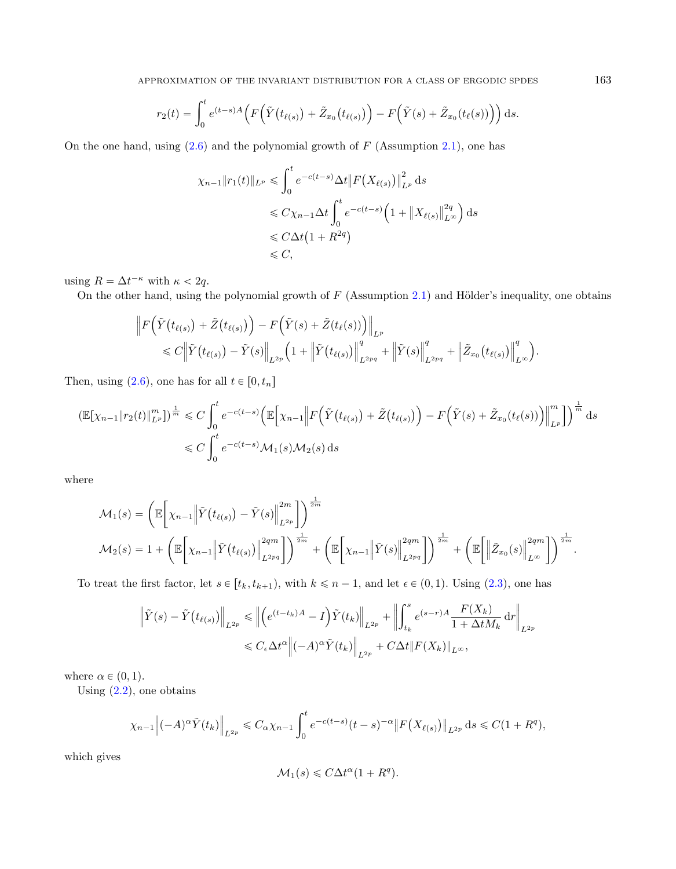$$
r_2(t) = \int_0^t e^{(t-s)A} \Big( F\Big(\tilde{Y}(t_{\ell(s)}) + \tilde{Z}_{x_0}(t_{\ell(s)})\Big) - F\Big(\tilde{Y}(s) + \tilde{Z}_{x_0}(t_{\ell}(s))\Big) \Big) ds.
$$

On the one hand, using  $(2.6)$  and the polynomial growth of  $F$  (Assumption [2.1\)](#page-4-1), one has

$$
\chi_{n-1} \|r_1(t)\|_{L^p} \leq \int_0^t e^{-c(t-s)} \Delta t \|F(X_{\ell(s)})\|_{L^p}^2 ds
$$
  
\n
$$
\leq C \chi_{n-1} \Delta t \int_0^t e^{-c(t-s)} \left(1 + \|X_{\ell(s)}\|_{L^\infty}^{2q}\right) ds
$$
  
\n
$$
\leq C \Delta t \left(1 + R^{2q}\right)
$$
  
\n
$$
\leq C,
$$

using  $R = \Delta t^{-\kappa}$  with  $\kappa < 2q$ .

On the other hand, using the polynomial growth of  $F$  (Assumption [2.1\)](#page-4-1) and Hölder's inequality, one obtains

$$
\|F(\tilde{Y}(t_{\ell(s)}) + \tilde{Z}(t_{\ell(s)}) - F(\tilde{Y}(s) + \tilde{Z}(t_{\ell}(s)))\|_{L^p} \n\leq C \|\tilde{Y}(t_{\ell(s)}) - \tilde{Y}(s)\|_{L^{2p}} \left(1 + \|\tilde{Y}(t_{\ell(s)})\|_{L^{2pq}}^q + \|\tilde{Y}(s)\|_{L^{2pq}}^q + \|\tilde{Z}_{x_0}(t_{\ell(s)})\|_{L^{\infty}}^q\right).
$$

Then, using  $(2.6)$ , one has for all  $t \in [0, t_n]$ 

$$
\begin{split} \left(\mathbb{E}[\chi_{n-1}\|r_2(t)\|_{L^p}^m]\right)^{\frac{1}{m}} &\leq C \int_0^t e^{-c(t-s)} \Big(\mathbb{E}\Big[\chi_{n-1}\Big|F\Big(\tilde{Y}\big(t_{\ell(s)}\big)+\tilde{Z}\big(t_{\ell(s)}\big)\Big)-F\Big(\tilde{Y}(s)+\tilde{Z}_{x_0}(t_{\ell}(s))\Big)\Big\|_{L^p}^m\Big]\Big)^{\frac{1}{m}}\,\mathrm{d}s\\ &\leq C \int_0^t e^{-c(t-s)}\mathcal{M}_1(s)\mathcal{M}_2(s)\,\mathrm{d}s \end{split}
$$

where

$$
\mathcal{M}_1(s) = \left( \mathbb{E} \left[ \chi_{n-1} \middle\| \tilde{Y}(t_{\ell(s)}) - \tilde{Y}(s) \middle\|_{L^{2p}}^{2m} \right] \right)^{\frac{1}{2m}} \n\mathcal{M}_2(s) = 1 + \left( \mathbb{E} \left[ \chi_{n-1} \middle\| \tilde{Y}(t_{\ell(s)}) \middle\|_{L^{2pq}}^{2qm} \right] \right)^{\frac{1}{2m}} + \left( \mathbb{E} \left[ \chi_{n-1} \middle\| \tilde{Y}(s) \middle\|_{L^{2pq}}^{2qm} \right] \right)^{\frac{1}{2m}} + \left( \mathbb{E} \left[ \left\| \tilde{Z}_{x_0}(s) \middle\|_{L^{\infty}}^{2qm} \right] \right)^{\frac{1}{2m}}.
$$

To treat the first factor, let  $s \in [t_k, t_{k+1})$ , with  $k \le n-1$ , and let  $\epsilon \in (0, 1)$ . Using  $(2.3)$ , one has

$$
\left\|\tilde{Y}(s) - \tilde{Y}(t_{\ell(s)})\right\|_{L^{2p}} \leq \left\|\left(e^{(t-t_k)A} - I\right)\tilde{Y}(t_k)\right\|_{L^{2p}} + \left\|\int_{t_k}^s e^{(s-r)A} \frac{F(X_k)}{1 + \Delta t M_k} dr\right\|_{L^{2p}}
$$
  

$$
\leq C_{\epsilon} \Delta t^{\alpha} \left\|(-A)^{\alpha} \tilde{Y}(t_k)\right\|_{L^{2p}} + C \Delta t \|F(X_k)\|_{L^{\infty}},
$$

where  $\alpha \in (0, 1)$ .

Using  $(2.2)$ , one obtains

$$
\chi_{n-1} \left\| (-A)^{\alpha} \tilde{Y}(t_k) \right\|_{L^{2p}} \leq C_{\alpha} \chi_{n-1} \int_0^t e^{-c(t-s)} (t-s)^{-\alpha} \left\| F(X_{\ell(s)}) \right\|_{L^{2p}} ds \leq C(1+R^q),
$$

which gives

$$
\mathcal{M}_1(s) \leq C\Delta t^{\alpha} (1 + R^q).
$$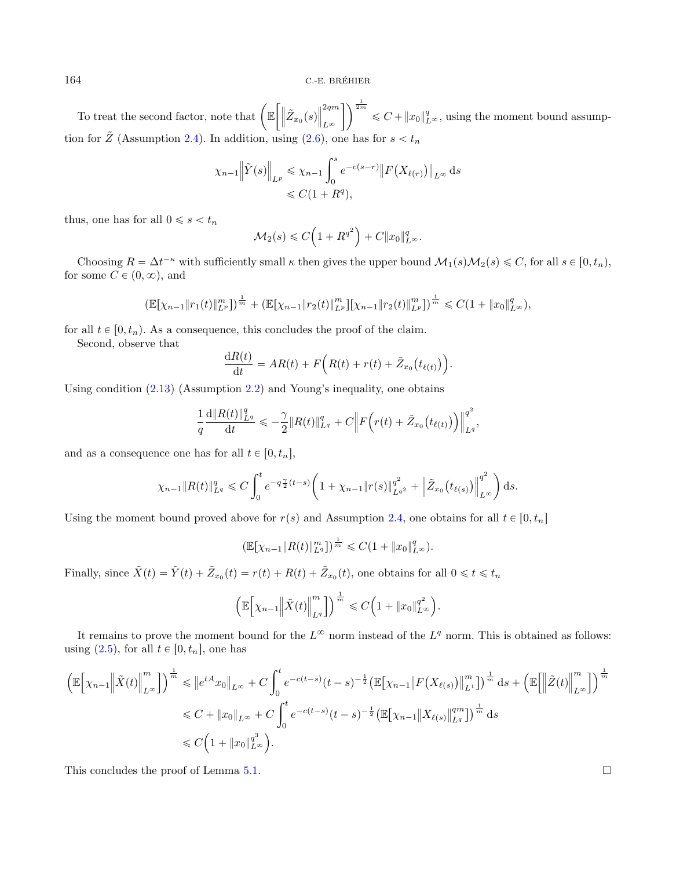To treat the second factor, note that  $\Big(\mathbb{E}\Big)$  $\int \Biggl\|\tilde{Z}_{x_0}(s)$  $\parallel^{2qm}$  $L^{\infty}$  $\int \sqrt{\frac{1}{2m}} \leq C + ||x_0||_{L^{\infty}}^q$ , using the moment bound assumption for  $\tilde{Z}$  (Assumption [2.4\)](#page-5-6). In addition, using [\(2.6\)](#page-3-5), one has for  $s < t_n$ 

$$
\chi_{n-1} \|\tilde{Y}(s)\|_{L^p} \le \chi_{n-1} \int_0^s e^{-c(s-r)} \|F(X_{\ell(r)})\|_{L^\infty} ds
$$
  
 $\le C(1+R^q),$ 

thus, one has for all  $0 \leq s \leq t_n$ 

$$
\mathcal{M}_2(s) \leqslant C\Big(1 + R^{q^2}\Big) + C\|x_0\|_{L^\infty}^q.
$$

Choosing  $R = \Delta t^{-\kappa}$  with sufficiently small  $\kappa$  then gives the upper bound  $\mathcal{M}_1(s)\mathcal{M}_2(s) \leq C$ , for all  $s \in [0, t_n)$ , for some  $C \in (0, \infty)$ , and

$$
\left(\mathbb{E}[\chi_{n-1} \|r_1(t)\|_{L^p}^m]\right)^{\frac{1}{m}} + \left(\mathbb{E}[\chi_{n-1} \|r_2(t)\|_{L^p}^m][\chi_{n-1} \|r_2(t)\|_{L^p}^m]\right)^{\frac{1}{m}} \leq C(1 + \|x_0\|_{L^\infty}^q),
$$

for all  $t \in [0, t_n)$ . As a consequence, this concludes the proof of the claim.

Second, observe that

$$
\frac{\mathrm{d}R(t)}{\mathrm{d}t} = AR(t) + F\Big(R(t) + r(t) + \tilde{Z}_{x_0}\big(t_{\ell(t)}\big)\Big).
$$

Using condition  $(2.13)$  (Assumption [2.2\)](#page-4-2) and Young's inequality, one obtains

$$
\frac{1}{q}\frac{\mathrm{d}\|R(t)\|_{L^q}^q}{\mathrm{d}t} \leqslant -\frac{\gamma}{2} \|R(t)\|_{L^q}^q + C \Big\|F\Big(r(t) + \tilde{Z}_{x_0}\big(t_{\ell(t)}\big)\Big)\Big\|_{L^q}^{q^2},
$$

and as a consequence one has for all  $t \in [0, t_n]$ ,

$$
\chi_{n-1} \|R(t)\|_{L^q}^q \leq C \int_0^t e^{-q\frac{\gamma}{2}(t-s)} \bigg(1+\chi_{n-1} \|r(s)\|_{L^{q^2}}^{q^2} + \left\|\tilde{Z}_{x_0}(t_{\ell(s)})\right\|_{L^\infty}^{q^2}\bigg) ds.
$$

Using the moment bound proved above for  $r(s)$  and Assumption [2.4,](#page-5-6) one obtains for all  $t \in [0, t_n]$ 

$$
\left(\mathbb{E}[\chi_{n-1} \| R(t) \|_{L^q}^m]\right)^{\frac{1}{m}} \leqslant C(1 + \|x_0\|_{L^\infty}^q).
$$

Finally, since  $\tilde{X}(t) = \tilde{Y}(t) + \tilde{Z}_{x_0}(t) = r(t) + R(t) + \tilde{Z}_{x_0}(t)$ , one obtains for all  $0 \le t \le t_n$ 

$$
\left(\mathbb{E}\bigg[\chi_{n-1}\bigg\|\tilde{X}(t)\bigg\|_{L^q}^m\bigg]\right)^{\frac{1}{m}} \leqslant C\Big(1+\|x_0\|_{L^\infty}^{q^2}\Big).
$$

It remains to prove the moment bound for the  $L^{\infty}$  norm instead of the  $L^{q}$  norm. This is obtained as follows: using [\(2.5\)](#page-3-3), for all  $t \in [0, t_n]$ , one has

$$
\left(\mathbb{E}\Big[\chi_{n-1}\Big\|\tilde{X}(t)\Big\|_{L^{\infty}}^m\Big]\right)^{\frac{1}{m}} \leqslant \|e^{tA}x_0\|_{L^{\infty}} + C\int_0^t e^{-c(t-s)}(t-s)^{-\frac{1}{2}}\left(\mathbb{E}\big[\chi_{n-1}\big\|F\big(X_{\ell(s)}\big)\big\|_{L^1}^m\big]\right)^{\frac{1}{m}}\mathrm{d}s + \left(\mathbb{E}\Big[\Big\|\tilde{Z}(t)\Big\|_{L^{\infty}}^m\Big]\right)^{\frac{1}{m}}
$$
\n
$$
\leqslant C + \|x_0\|_{L^{\infty}} + C\int_0^t e^{-c(t-s)}(t-s)^{-\frac{1}{2}}\left(\mathbb{E}\big[\chi_{n-1}\big\|X_{\ell(s)}\big\|_{L^q}^{qm}\big]\right)^{\frac{1}{m}}\mathrm{d}s
$$
\n
$$
\leqslant C\left(1 + \|x_0\|_{L^{\infty}}^{q^3}\right).
$$

This concludes the proof of Lemma [5.1.](#page-11-1)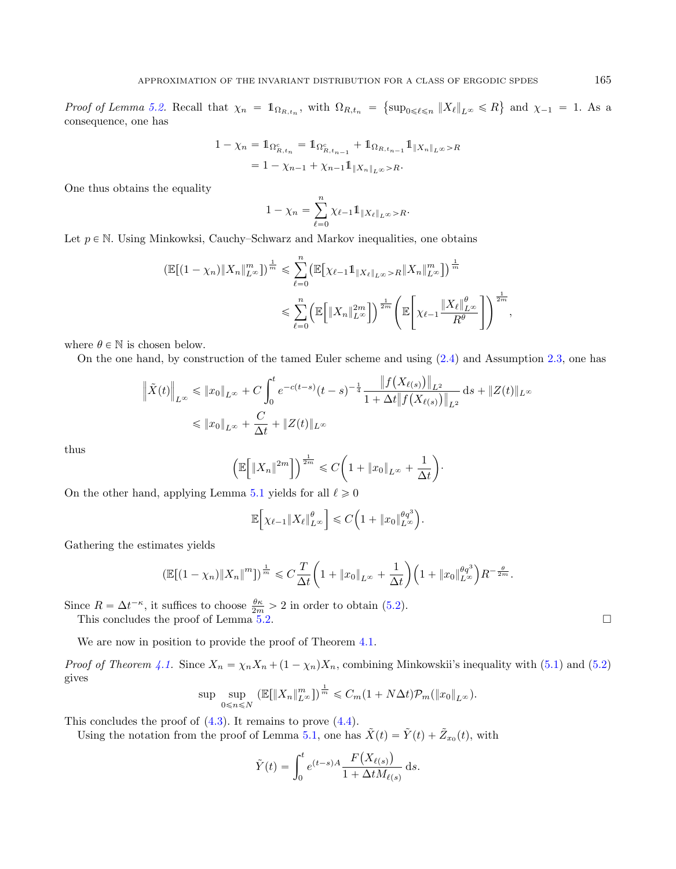*Proof of Lemma [5.2.](#page-11-2)* Recall that  $\chi_n = \mathbb{1}_{\Omega_{R,t_n}}$ , with  $\Omega_{R,t_n}$  $\sup_{0\leq \ell \leq n}$   $\|X_{\ell}\|_{L^{\infty}} \leq R$ ( and  $\chi_{-1} = 1$ . As a consequence, one has

$$
1 - \chi_n = 1_{\Omega_{R,t_n}^c} = 1_{\Omega_{R,t_{n-1}}^c} + 1_{\Omega_{R,t_{n-1}}} 1_{\|X_n\|_{L^\infty} > R}
$$
  
= 
$$
1 - \chi_{n-1} + \chi_{n-1} 1_{\|X_n\|_{L^\infty} > R}.
$$

One thus obtains the equality

$$
1 - \chi_n = \sum_{\ell=0}^n \chi_{\ell-1} 1 \mathbb{1}_{\|X_{\ell}\|_{L^{\infty}}} > R.
$$

Let  $p \in \mathbb{N}$ . Using Minkowksi, Cauchy–Schwarz and Markov inequalities, one obtains

$$
\begin{split} \left( \mathbb{E}[(1 - \chi_n) \|X_n\|_{L^{\infty}}^m] \right)^{\frac{1}{m}} &\leq \sum_{\ell=0}^n \left( \mathbb{E}[\chi_{\ell-1} \mathbb{1}_{\|X_{\ell}\|_{L^{\infty}} > R} \|X_n\|_{L^{\infty}}^m] \right)^{\frac{1}{m}} \\ &\leq \sum_{\ell=0}^n \left( \mathbb{E}[\|X_n\|_{L^{\infty}}^{2m}]\right)^{\frac{1}{2m}} \left( \mathbb{E}\left[\chi_{\ell-1} \frac{\|X_{\ell}\|_{L^{\infty}}^{\theta}}{R^{\theta}}\right] \right)^{\frac{1}{2m}}, \end{split}
$$

where  $\theta \in \mathbb{N}$  is chosen below.

On the one hand, by construction of the tamed Euler scheme and using [\(2.4\)](#page-3-7) and Assumption [2.3,](#page-5-0) one has

$$
\left\| \tilde{X}(t) \right\|_{L^{\infty}} \leqslant \left\| x_0 \right\|_{L^{\infty}} + C \int_0^t e^{-c(t-s)} (t-s)^{-\frac{1}{4}} \frac{\left\| f(X_{\ell(s)}) \right\|_{L^2}}{1 + \Delta t \| f(X_{\ell(s)}) \|_{L^2}} ds + \|Z(t)\|_{L^{\infty}}
$$
  

$$
\leqslant \| x_0 \|_{L^{\infty}} + \frac{C}{\Delta t} + \|Z(t)\|_{L^{\infty}}
$$

thus

$$
\left(\mathbb{E}\bigg[\left\|X_n\right\|^{2m}\bigg]\right)^{\frac{1}{2m}} \leqslant C\bigg(1+\left\|x_0\right\|_{L^\infty}+\frac{1}{\Delta t}\bigg).
$$

On the other hand, applying Lemma [5.1](#page-11-1) yields for all  $\ell \geq 0$ 

$$
\mathbb{E}\Big[\chi_{\ell-1}||X_{\ell}||_{L^{\infty}}^{\theta}\Big]\leqslant C\Big(1+\|x_0\|_{L^{\infty}}^{\theta q^3}\Big).
$$

Gathering the estimates yields

$$
\left(\mathbb{E}[(1-\chi_n)\|X_n\|^m]\right)^{\frac{1}{m}} \leq C\frac{T}{\Delta t}\left(1+\|x_0\|_{L^\infty}+\frac{1}{\Delta t}\right)\left(1+\|x_0\|_{L^\infty}^{\theta q^3}\right)R^{-\frac{\theta}{2m}}.
$$

Since  $R = \Delta t^{-\kappa}$ , it suffices to choose  $\frac{\theta \kappa}{2m} > 2$  in order to obtain [\(5.2\)](#page-11-4).

This concludes the proof of Lemma  $\frac{2m}{5.2}$ .

We are now in position to provide the proof of Theorem [4.1.](#page-8-1)

*Proof of Theorem [4.1.](#page-8-1)* Since  $X_n = \chi_n X_n + (1 - \chi_n) X_n$ , combining Minkowskii's inequality with [\(5.1\)](#page-11-3) and [\(5.2\)](#page-11-4) gives

$$
\sup \sup_{0 \le n \le N} \left( \mathbb{E}[\|X_n\|_{L^\infty}^m] \right)^{\frac{1}{m}} \le C_m (1 + N \Delta t) \mathcal{P}_m(\|x_0\|_{L^\infty}).
$$

This concludes the proof of [\(4.3\)](#page-9-3). It remains to prove [\(4.4\)](#page-9-2).

Using the notation from the proof of Lemma [5.1,](#page-11-1) one has  $\tilde{X}(t) = \tilde{Y}(t) + \tilde{Z}_{x_0}(t)$ , with

$$
\tilde{Y}(t) = \int_0^t e^{(t-s)A} \frac{F(X_{\ell(s)})}{1 + \Delta t M_{\ell(s)}} ds.
$$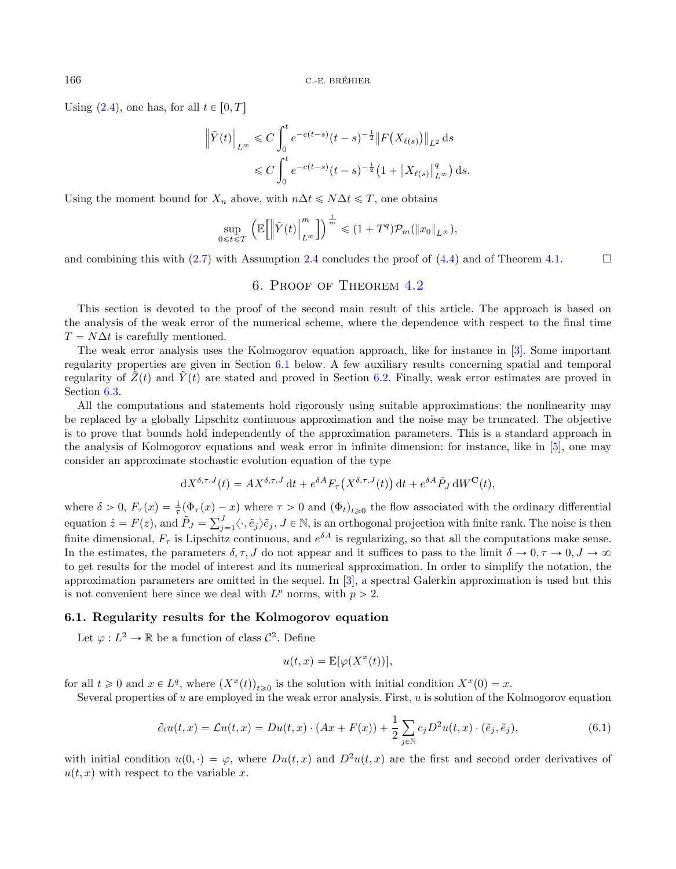Using  $(2.4)$ , one has, for all  $t \in [0, T]$ 

$$
\|\tilde{Y}(t)\|_{L^{\infty}} \leq C \int_0^t e^{-c(t-s)} (t-s)^{-\frac{1}{2}} \|F(X_{\ell(s)})\|_{L^2} ds
$$
  

$$
\leq C \int_0^t e^{-c(t-s)} (t-s)^{-\frac{1}{2}} (1 + \|X_{\ell(s)}\|_{L^{\infty}}^q) ds.
$$

Using the moment bound for  $X_n$  above, with  $n\Delta t \leq N\Delta t \leq T$ , one obtains

$$
\sup_{0\leqslant t\leqslant T}\,\left(\mathbb{E}\!\left[\left\|\tilde{Y}(t)\right\|_{L^\infty}^m\right]\right)^{\frac{1}{m}}\leqslant (1+T^q)\mathcal{P}_m(\|x_0\|_{L^\infty}),
$$

<span id="page-15-0"></span>and combining this with [\(2.7\)](#page-3-4) with Assumption [2.4](#page-5-6) concludes the proof of [\(4.4\)](#page-9-2) and of Theorem [4.1.](#page-8-1)  $\Box$ 

# 6. Proof of Theorem [4.2](#page-9-0)

This section is devoted to the proof of the second main result of this article. The approach is based on the analysis of the weak error of the numerical scheme, where the dependence with respect to the final time  $T = N\Delta t$  is carefully mentioned.

The weak error analysis uses the Kolmogorov equation approach, like for instance in [\[3\]](#page-23-1). Some important regularity properties are given in Section [6.1](#page-15-1) below. A few auxiliary results concerning spatial and temporal regularity of  $Z(t)$  and  $Y(t)$  are stated and proved in Section [6.2.](#page-18-0) Finally, weak error estimates are proved in Section [6.3.](#page-19-0)

All the computations and statements hold rigorously using suitable approximations: the nonlinearity may be replaced by a globally Lipschitz continuous approximation and the noise may be truncated. The objective is to prove that bounds hold independently of the approximation parameters. This is a standard approach in the analysis of Kolmogorov equations and weak error in infinite dimension: for instance, like in [\[5\]](#page-23-5), one may consider an approximate stochastic evolution equation of the type

$$
dX^{\delta,\tau,J}(t) = AX^{\delta,\tau,J} dt + e^{\delta A} F_{\tau}\left(X^{\delta,\tau,J}(t)\right) dt + e^{\delta A} \tilde{P}_J dW^{\mathbf{C}}(t),
$$

<span id="page-15-2"></span>where  $\delta > 0$ ,  $F_{\tau}(x) = \frac{1}{\tau} (\Phi_{\tau}(x) - x)$  where  $\tau > 0$  and  $(\Phi_t)_{t \geq 0}$  the flow associated with the ordinary differential where  $v > 0$ ,  $r_{\tau}(x) = \frac{1}{\tau} (\mathbf{\Psi}_{\tau}(x))$ <br>equation  $\dot{z} = F(z)$ , and  $\tilde{P}_J = \sum_{i=1}^{J}$  $_{j=1}^{J} \langle \cdot, \tilde{e}_j \rangle \tilde{e}_j, J \in \mathbb{N}$ , is an orthogonal projection with finite rank. The noise is then finite dimensional,  $F_{\tau}$  is Lipschitz continuous, and  $e^{\delta A}$  is regularizing, so that all the computations make sense. In the estimates, the parameters  $\delta, \tau, J$  do not appear and it suffices to pass to the limit  $\delta \to 0, \tau \to 0, J \to \infty$ to get results for the model of interest and its numerical approximation. In order to simplify the notation, the approximation parameters are omitted in the sequel. In [\[3\]](#page-23-1), a spectral Galerkin approximation is used but this is not convenient here since we deal with  $L^p$  norms, with  $p > 2$ .

# <span id="page-15-1"></span>6.1. Regularity results for the Kolmogorov equation

Let  $\varphi: L^2 \to \mathbb{R}$  be a function of class  $\mathcal{C}^2$ . Define

$$
u(t,x) = \mathbb{E}[\varphi(X^x(t))],
$$

for all  $t \geq 0$  and  $x \in L^q$ , where  $(X^x(t))_{t \geq 0}$  is the solution with initial condition  $X^x(0) = x$ .

Several properties of  $u$  are employed in the weak error analysis. First,  $u$  is solution of the Kolmogorov equation

$$
\partial_t u(t,x) = \mathcal{L}u(t,x) = Du(t,x) \cdot (Ax + F(x)) + \frac{1}{2} \sum_{j \in \mathbb{N}} c_j D^2 u(t,x) \cdot (\tilde{e}_j, \tilde{e}_j), \tag{6.1}
$$

with initial condition  $u(0, \cdot) = \varphi$ , where  $Du(t, x)$  and  $D^2u(t, x)$  are the first and second order derivatives of  $u(t, x)$  with respect to the variable x.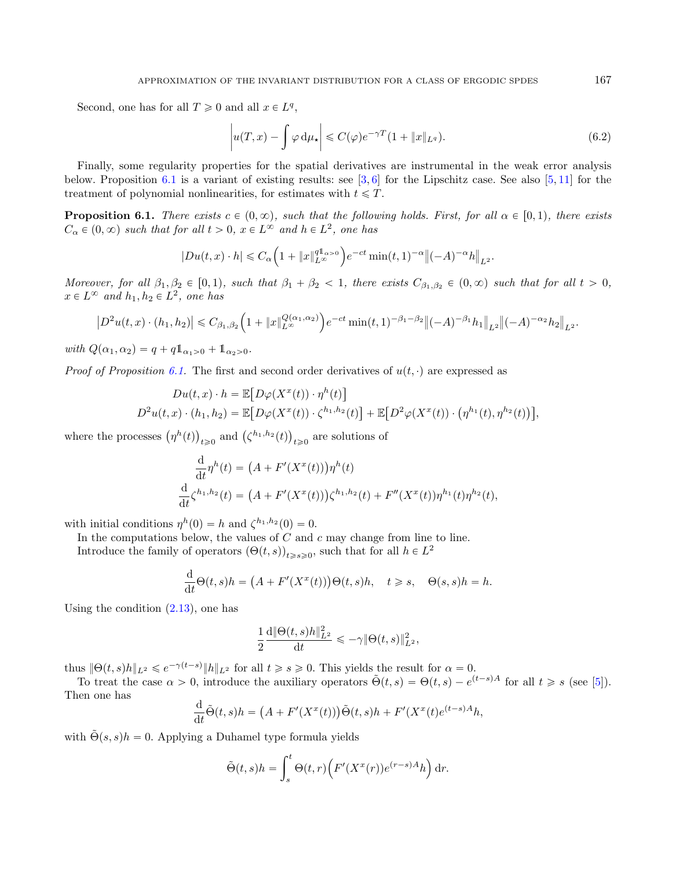Second, one has for all  $T \geq 0$  and all  $x \in L^q$ ,

<span id="page-16-1"></span>
$$
\left| u(T, x) - \int \varphi \, \mathrm{d}\mu_{\star} \right| \leqslant C(\varphi) e^{-\gamma T} (1 + \|x\|_{L^q}). \tag{6.2}
$$

Finally, some regularity properties for the spatial derivatives are instrumental in the weak error analysis below. Proposition [6.1](#page-16-0) is a variant of existing results: see  $[3, 6]$  $[3, 6]$  $[3, 6]$  for the Lipschitz case. See also  $[5, 11]$  $[5, 11]$  $[5, 11]$  for the treatment of polynomial nonlinearities, for estimates with  $t \leq T$ .

<span id="page-16-0"></span>**Proposition 6.1.** There exists  $c \in (0, \infty)$ , such that the following holds. First, for all  $\alpha \in [0, 1)$ , there exists  $C_{\alpha} \in (0, \infty)$  such that for all  $t > 0$ ,  $x \in L^{\infty}$  and  $h \in L^2$ , one has

$$
|Du(t,x)\cdot h|\leqslant C_{\alpha}\Big(1+\|x\|_{L^{\infty}}^{q1_{\alpha}>0}\Big)e^{-ct}\min(t,1)^{-\alpha}\big\|(-A)^{-\alpha}h\big\|_{L^{2}}.
$$

Moreover, for all  $\beta_1, \beta_2 \in [0, 1)$ , such that  $\beta_1 + \beta_2 < 1$ , there exists  $C_{\beta_1, \beta_2} \in (0, \infty)$  such that for all  $t > 0$ ,  $x \in L^{\infty}$  and  $h_1, h_2 \in L^2$ , one has

$$
\left|D^2u(t,x)\cdot(h_1,h_2)\right|\leq C_{\beta_1,\beta_2}\Big(1+\|x\|_{L^\infty}^{Q(\alpha_1,\alpha_2)}\Big)e^{-ct}\min(t,1)^{-\beta_1-\beta_2}\|(-A)^{-\beta_1}h_1\|_{L^2}\|(-A)^{-\alpha_2}h_2\|_{L^2}.
$$

with  $Q(\alpha_1, \alpha_2) = q + q \mathbb{1}_{\alpha_1 > 0} + \mathbb{1}_{\alpha_2 > 0}$ .

*Proof of Proposition [6.1.](#page-16-0)* The first and second order derivatives of  $u(t, \cdot)$  are expressed as

$$
Du(t,x)\cdot h = \mathbb{E}\big[D\varphi(X^x(t))\cdot\eta^h(t)\big]
$$
  

$$
D^2u(t,x)\cdot(h_1,h_2) = \mathbb{E}\big[D\varphi(X^x(t))\cdot\zeta^{h_1,h_2}(t)\big] + \mathbb{E}\big[D^2\varphi(X^x(t))\cdot\big(\eta^{h_1}(t),\eta^{h_2}(t)\big)\big],
$$

where the processes  $(\eta^h(t))$  $\sum_{t\geqslant 0}$  and  $\left(\zeta^{h_1,h_2}(t)\right)$  $t \geq 0$  are solutions of

$$
\frac{d}{dt}\eta^{h}(t) = (A + F'(X^{x}(t)))\eta^{h}(t)
$$
\n
$$
\frac{d}{dt}\zeta^{h_{1},h_{2}}(t) = (A + F'(X^{x}(t)))\zeta^{h_{1},h_{2}}(t) + F''(X^{x}(t))\eta^{h_{1}}(t)\eta^{h_{2}}(t),
$$

with initial conditions  $\eta^h(0) = h$  and  $\zeta^{h_1,h_2}(0) = 0$ .

In the computations below, the values of  $C$  and  $c$  may change from line to line.

Introduce the family of operators  $(\Theta(t, s))_{t \geq s \geq 0}$ , such that for all  $h \in L^2$ 

$$
\frac{\mathrm{d}}{\mathrm{d}t}\Theta(t,s)h = \left(A + F'(X^x(t))\right)\Theta(t,s)h, \quad t \geq s, \quad \Theta(s,s)h = h.
$$

Using the condition  $(2.13)$ , one has

$$
\frac{1}{2}\frac{\mathrm{d}\|\Theta(t,s)h\|_{L^2}^2}{\mathrm{d}t}\leqslant -\gamma\|\Theta(t,s)\|_{L^2}^2,
$$

thus  $\|\Theta(t,s)h\|_{L^2} \leqslant e^{-\gamma(t-s)}\|h\|_{L^2}$  for all  $t \geqslant s \geqslant 0$ . This yields the result for  $\alpha = 0$ .

To treat the case  $\alpha > 0$ , introduce the auxiliary operators  $\tilde{\Theta}(t,s) = \Theta(t,s) - e^{(t-s)A}$  for all  $t \geq s$  (see [\[5\]](#page-23-5)). Then one has

$$
\frac{\mathrm{d}}{\mathrm{d}t}\tilde{\Theta}(t,s)h = (A + F'(X^x(t)))\tilde{\Theta}(t,s)h + F'(X^x(t)e^{(t-s)A}h,
$$

with  $\Theta(s, s)h = 0$ . Applying a Duhamel type formula yields

$$
\tilde{\Theta}(t,s)h = \int_s^t \Theta(t,r) \Big( F'(X^x(r)) e^{(r-s)A} h \Big) dr.
$$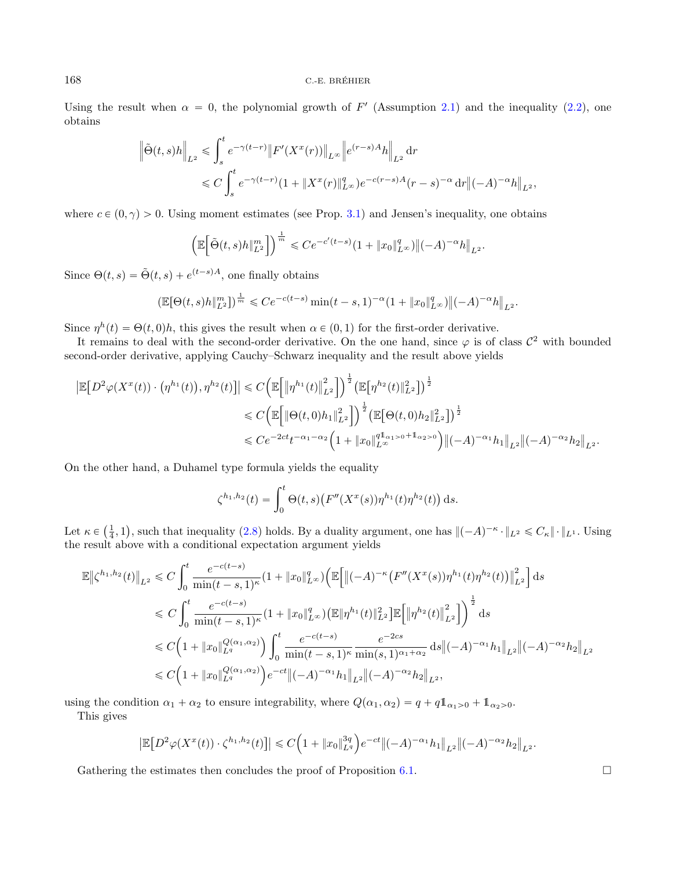Using the result when  $\alpha = 0$ , the polynomial growth of F' (Assumption [2.1\)](#page-4-1) and the inequality [\(2.2\)](#page-3-1), one obtains

$$
\|\tilde{\Theta}(t,s)h\|_{L^{2}} \leq \int_{s}^{t} e^{-\gamma(t-r)} \|F'(X^{x}(r))\|_{L^{\infty}} \|e^{(r-s)A}h\|_{L^{2}} dr
$$
  

$$
\leq C \int_{s}^{t} e^{-\gamma(t-r)} (1 + \|X^{x}(r)\|_{L^{\infty}}^{q}) e^{-c(r-s)A}(r-s)^{-\alpha} dr \|(-A)^{-\alpha}h\|_{L^{2}},
$$

where  $c \in (0, \gamma) > 0$ . Using moment estimates (see Prop. [3.1\)](#page-6-2) and Jensen's inequality, one obtains

$$
\Big(\mathbb{E}\Big[\tilde{\Theta}(t,s)h\|_{L^2}^{m}\Big]\Big)^{\frac{1}{m}}\leqslant Ce^{-c'(t-s)}(1+\|x_0\|_{L^\infty}^q)\big\|(-A)^{-\alpha}h\big\|_{L^2}.
$$

Since  $\Theta(t, s) = \tilde{\Theta}(t, s) + e^{(t-s)A}$ , one finally obtains

$$
\left(\mathbb{E}[\Theta(t,s)h\|_{L^2}^m]\right)^{\frac{1}{m}} \leqslant Ce^{-c(t-s)}\min(t-s,1)^{-\alpha}(1+\|x_0\|_{L^\infty}^q)\left\|(-A)^{-\alpha}h\right\|_{L^2}.
$$

Since  $\eta^h(t) = \Theta(t, 0)h$ , this gives the result when  $\alpha \in (0, 1)$  for the first-order derivative.

It remains to deal with the second-order derivative. On the one hand, since  $\varphi$  is of class  $\mathcal{C}^2$  with bounded second-order derivative, applying Cauchy–Schwarz inequality and the result above yields

$$
\begin{split} \left| \mathbb{E} \big[ D^2 \varphi(X^x(t)) \cdot \left( \eta^{h_1}(t) \right), \eta^{h_2}(t) \big] \right| &\leq C \Big( \mathbb{E} \Big[ \big\| \eta^{h_1}(t) \big\|_{L^2}^2 \Big] \Big)^{\frac{1}{2}} \big( \mathbb{E} \big[ \eta^{h_2}(t) \big\|_{L^2}^2 \big] \big)^{\frac{1}{2}} \\ &\leq C \Big( \mathbb{E} \Big[ \big\| \Theta(t,0) h_1 \big\|_{L^2}^2 \Big] \Big)^{\frac{1}{2}} \big( \mathbb{E} \big[ \Theta(t,0) h_2 \big\|_{L^2}^2 \big] \big)^{\frac{1}{2}} \\ &\leq C e^{-2ct} t^{-\alpha_1 - \alpha_2} \Big( 1 + \|x_0\|_{L^\infty}^{q 1_{\alpha_1} > 0} + 1_{\alpha_2 > 0} \Big) \big\| (-A)^{-\alpha_1} h_1 \big\|_{L^2} \big\| (-A)^{-\alpha_2} h_2 \big\|_{L^2} . \end{split}
$$

On the other hand, a Duhamel type formula yields the equality

$$
\zeta^{h_1, h_2}(t) = \int_0^t \Theta(t, s) \big( F''(X^x(s)) \eta^{h_1}(t) \eta^{h_2}(t) \big) \, ds.
$$

Let  $\kappa \in$  $(\frac{1}{4}, 1)$ Ï. , such that inequality [\(2.8\)](#page-3-2) holds. By a duality argument, one has  $\|(-A)^{-\kappa} \cdot \|_{L^2} \leq C_{\kappa} \|\cdot\|_{L^1}$ . Using the result above with a conditional expectation argument yields

$$
\mathbb{E} \left\| \zeta^{h_1, h_2}(t) \right\|_{L^2} \leq C \int_0^t \frac{e^{-c(t-s)}}{\min(t-s, 1)^{\kappa}} (1 + \|x_0\|_{L^{\infty}}^q) \Big( \mathbb{E} \Big[ \|( -A)^{-\kappa} \big( F''(X^x(s)) \eta^{h_1}(t) \eta^{h_2}(t) \big) \Big\|_{L^2}^2 \Big] ds
$$
  
\n
$$
\leq C \int_0^t \frac{e^{-c(t-s)}}{\min(t-s, 1)^{\kappa}} (1 + \|x_0\|_{L^{\infty}}^q) \Big( \mathbb{E} \|\eta^{h_1}(t)\|_{L^2}^2 \Big] \mathbb{E} \Big[ \|\eta^{h_2}(t)\|_{L^2}^2 \Big] \Big)^{\frac{1}{2}} ds
$$
  
\n
$$
\leq C \Big( 1 + \|x_0\|_{L^q}^{Q(\alpha_1, \alpha_2)} \Big) \int_0^t \frac{e^{-c(t-s)}}{\min(t-s, 1)^{\kappa}} \frac{e^{-2cs}}{\min(s, 1)^{\alpha_1 + \alpha_2}} ds \|( -A)^{-\alpha_1} h_1 \|_{L^2} \|(-A)^{-\alpha_2} h_2 \|_{L^2}
$$
  
\n
$$
\leq C \Big( 1 + \|x_0\|_{L^q}^{Q(\alpha_1, \alpha_2)} \Big) e^{-ct} \|(-A)^{-\alpha_1} h_1 \|_{L^2} \|(-A)^{-\alpha_2} h_2 \|_{L^2},
$$

using the condition  $\alpha_1 + \alpha_2$  to ensure integrability, where  $Q(\alpha_1, \alpha_2) = q + q\mathbb{1}_{\alpha_1>0} + \mathbb{1}_{\alpha_2>0}$ .

This gives

$$
\left|{\mathbb E}\big[D^2\varphi(X^x(t))\cdot \zeta^{h_1,h_2}(t)\big]\right|\leqslant C\Big(1+\|x_0\|_{L^q}^{3q}\Big)e^{-ct}\big\|(-A)^{-\alpha_1}h_1\big\|_{L^2}\big\|(-A)^{-\alpha_2}h_2\big\|_{L^2}.
$$

Gathering the estimates then concludes the proof of Proposition [6.1.](#page-16-0)  $\Box$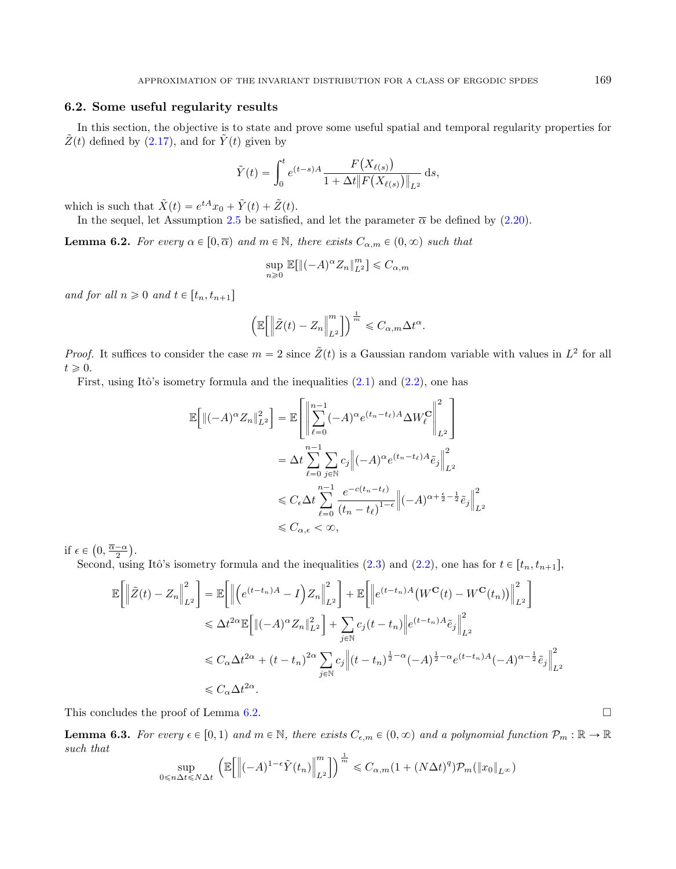# <span id="page-18-0"></span>6.2. Some useful regularity results

In this section, the objective is to state and prove some useful spatial and temporal regularity properties for  $\tilde{Z}(t)$  defined by [\(2.17\)](#page-5-7), and for  $\tilde{Y}(t)$  given by

$$
\tilde{Y}(t) = \int_0^t e^{(t-s)A} \frac{F(X_{\ell(s)})}{1 + \Delta t \|F(X_{\ell(s)})\|_{L^2}} ds,
$$

which is such that  $\tilde{X}(t) = e^{tA}x_0 + \tilde{Y}(t) + \tilde{Z}(t)$ .

In the sequel, let Assumption [2.5](#page-5-1) be satisfied, and let the parameter  $\bar{\alpha}$  be defined by [\(2.20\)](#page-5-5).

<span id="page-18-1"></span>**Lemma 6.2.** For every  $\alpha \in [0, \overline{\alpha})$  and  $m \in \mathbb{N}$ , there exists  $C_{\alpha,m} \in (0, \infty)$  such that

$$
\sup_{n\geq 0}\mathbb{E}[\|(-A)^\alpha Z_n\|_{L^2}^m] \leq C_{\alpha,m}
$$

and for all  $n \geq 0$  and  $t \in [t_n, t_{n+1}]$ 

$$
\left(\mathbb{E}\bigg[\bigg\|\tilde{Z}(t)-Z_n\bigg\|_{L^2}^m\bigg]\right)^{\frac{1}{m}}\leqslant C_{\alpha,m}\Delta t^\alpha.
$$

*Proof.* It suffices to consider the case  $m = 2$  since  $\tilde{Z}(t)$  is a Gaussian random variable with values in  $L^2$  for all  $t \geqslant 0.$ 

First, using Itô's isometry formula and the inequalities  $(2.1)$  and  $(2.2)$ , one has

$$
\mathbb{E}\Big[\|(-A)^{\alpha}Z_{n}\|_{L^{2}}^{2}\Big] = \mathbb{E}\Bigg[\Bigg\|\sum_{\ell=0}^{n-1}(-A)^{\alpha}e^{(t_{n}-t_{\ell})A}\Delta W_{\ell}^{\mathbf{C}}\Bigg\|_{L^{2}}^{2}\Bigg]
$$
  
\n
$$
= \Delta t \sum_{\ell=0}^{n-1} \sum_{j\in\mathbb{N}} c_{j}\Big\|(-A)^{\alpha}e^{(t_{n}-t_{\ell})A}\tilde{e}_{j}\Big\|_{L^{2}}^{2}
$$
  
\n
$$
\leq C_{\epsilon}\Delta t \sum_{\ell=0}^{n-1} \frac{e^{-c(t_{n}-t_{\ell})}}{(t_{n}-t_{\ell})^{1-\epsilon}}\Big|(-A)^{\alpha+\frac{\epsilon}{2}-\frac{1}{2}}\tilde{e}_{j}\Big\|_{L^{2}}^{2}
$$
  
\n
$$
\leq C_{\alpha,\epsilon} < \infty,
$$

if  $\epsilon \in$  $0, \frac{\overline{\alpha}-\alpha}{2}$ .

Second, using Itô's isometry formula and the inequalities [\(2.3\)](#page-3-6) and [\(2.2\)](#page-3-1), one has for  $t \in [t_n, t_{n+1}]$ ,

$$
\mathbb{E}\Big[\Big\|\tilde{Z}(t) - Z_n\Big\|_{L^2}^2\Big] = \mathbb{E}\Big[\Big\|\Big(e^{(t-t_n)A} - I\Big)Z_n\Big\|_{L^2}^2\Big] + \mathbb{E}\Big[\Big\|e^{(t-t_n)A}\big(W^{\mathbf{C}}(t) - W^{\mathbf{C}}(t_n)\big)\Big\|_{L^2}^2\Big]
$$
  

$$
\leq \Delta t^{2\alpha} \mathbb{E}\Big[\|(-A)^\alpha Z_n\|_{L^2}^2\Big] + \sum_{j\in\mathbb{N}}c_j(t-t_n)\Big\|e^{(t-t_n)A}\tilde{e}_j\Big\|_{L^2}^2
$$
  

$$
\leq C_\alpha \Delta t^{2\alpha} + (t-t_n)^{2\alpha} \sum_{j\in\mathbb{N}}c_j\Big\|(t-t_n)^{\frac{1}{2}-\alpha}(-A)^{\frac{1}{2}-\alpha}e^{(t-t_n)A}(-A)^{\alpha-\frac{1}{2}}\tilde{e}_j\Big\|_{L^2}^2
$$
  

$$
\leq C_\alpha \Delta t^{2\alpha}.
$$

This concludes the proof of Lemma [6.2.](#page-18-1)

<span id="page-18-2"></span>**Lemma 6.3.** For every  $\epsilon \in [0, 1)$  and  $m \in \mathbb{N}$ , there exists  $C_{\epsilon,m} \in (0, \infty)$  and a polynomial function  $\mathcal{P}_m : \mathbb{R} \to \mathbb{R}$ such that ".<br>...  $\frac{1}{2}$ 

$$
\sup_{0 \le n \Delta t \le N\Delta t} \left( \mathbb{E} \left[ \left\| (-A)^{1-\epsilon} \tilde{Y}(t_n) \right\|_{L^2}^m \right] \right)^{\frac{1}{m}} \le C_{\alpha, m} (1 + (N\Delta t)^q) \mathcal{P}_m(\|x_0\|_{L^\infty})
$$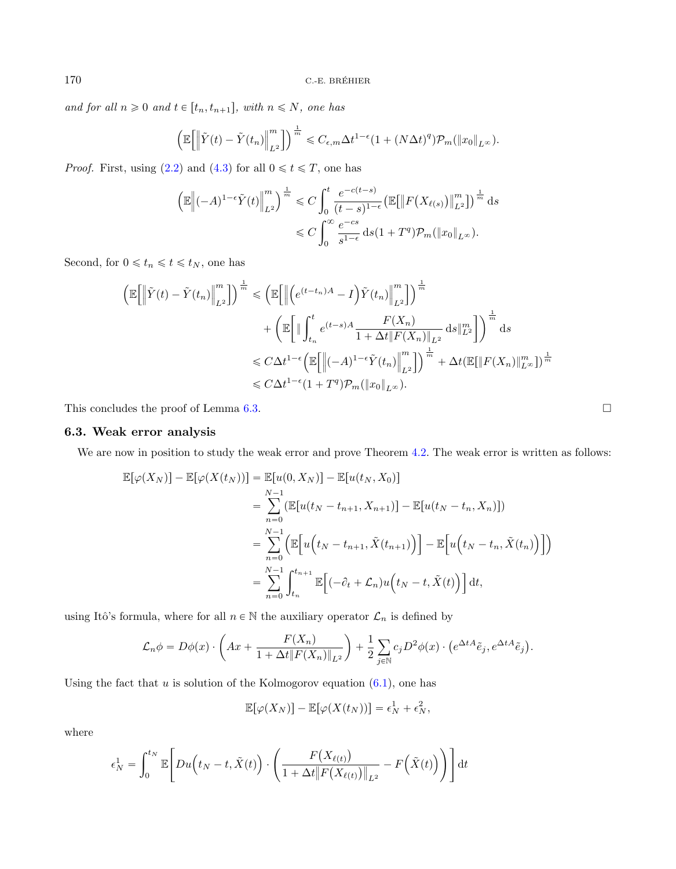and for all  $n \geq 0$  and  $t \in [t_n, t_{n+1}],$  with  $n \leq N$ , one has

$$
\left(\mathbb{E}\bigg[\bigg\|\tilde{Y}(t)-\tilde{Y}(t_n)\bigg\|_{L^2}^m\bigg]\right)^{\frac{1}{m}} \leqslant C_{\epsilon,m}\Delta t^{1-\epsilon}\left(1+(N\Delta t)^q\right)\mathcal{P}_m(\|x_0\|_{L^\infty}).
$$

*Proof.* First, using [\(2.2\)](#page-3-1) and [\(4.3\)](#page-9-3) for all  $0 \le t \le T$ , one has

$$
\left(\mathbb{E}\left\|(-A)^{1-\epsilon}\tilde{Y}(t)\right\|_{L^{2}}^{m}\right)^{\frac{1}{m}} \leq C \int_{0}^{t} \frac{e^{-c(t-s)}}{(t-s)^{1-\epsilon}} \left(\mathbb{E}\left\|F(X_{\ell(s)})\right\|_{L^{2}}^{m}\right)^{\frac{1}{m}} ds
$$

$$
\leq C \int_{0}^{\infty} \frac{e^{-cs}}{s^{1-\epsilon}} ds (1+T^{q}) \mathcal{P}_{m}(\|x_{0}\|_{L^{\infty}}).
$$

Second, for  $0\leqslant t_n\leqslant t\leqslant t_N,$  one has

$$
\left(\mathbb{E}\left[\left\|\tilde{Y}(t)-\tilde{Y}(t_n)\right\|_{L^2}^m\right]\right)^{\frac{1}{m}} \leq \left(\mathbb{E}\left[\left\|\left(e^{(t-t_n)A}-I\right)\tilde{Y}(t_n)\right\|_{L^2}^m\right]\right)^{\frac{1}{m}} + \left(\mathbb{E}\left[\left\|\int_{t_n}^t e^{(t-s)A}\frac{F(X_n)}{1+\Delta t\|F(X_n)\|_{L^2}}\,\mathrm{d}s\|_{L^2}^m\right]\right)^{\frac{1}{m}}\mathrm{d}s\right] \leq C\Delta t^{1-\epsilon}\left(\mathbb{E}\left[\left\|(-A)^{1-\epsilon}\tilde{Y}(t_n)\right\|_{L^2}^m\right]\right)^{\frac{1}{m}} + \Delta t\left(\mathbb{E}[\left\|F(X_n)\right\|_{L^\infty}^m\right))^{\frac{1}{m}} \leq C\Delta t^{1-\epsilon}(1+T^q)\mathcal{P}_m(\|x_0\|_{L^\infty}).
$$

This concludes the proof of Lemma [6.3.](#page-18-2)  $\Box$ 

# <span id="page-19-0"></span>6.3. Weak error analysis

We are now in position to study the weak error and prove Theorem [4.2.](#page-9-0) The weak error is written as follows:

$$
\mathbb{E}[\varphi(X_N)] - \mathbb{E}[\varphi(X(t_N))] = \mathbb{E}[u(0, X_N)] - \mathbb{E}[u(t_N, X_0)]
$$
  
\n
$$
= \sum_{n=0}^{N-1} (\mathbb{E}[u(t_N - t_{n+1}, X_{n+1})] - \mathbb{E}[u(t_N - t_n, X_n)])
$$
  
\n
$$
= \sum_{n=0}^{N-1} (\mathbb{E}[u(t_N - t_{n+1}, \tilde{X}(t_{n+1}))] - \mathbb{E}[u(t_N - t_n, \tilde{X}(t_n))])
$$
  
\n
$$
= \sum_{n=0}^{N-1} \int_{t_n}^{t_{n+1}} \mathbb{E}[(-\partial_t + \mathcal{L}_n)u(t_N - t, \tilde{X}(t))] dt,
$$

using Itô's formula, where for all  $n\in\mathbb{N}$  the auxiliary operator  $\mathcal{L}_n$  is defined by

$$
\mathcal{L}_n \phi = D\phi(x) \cdot \left( Ax + \frac{F(X_n)}{1 + \Delta t \| F(X_n) \|_{L^2}} \right) + \frac{1}{2} \sum_{j \in \mathbb{N}} c_j D^2 \phi(x) \cdot \left( e^{\Delta t A} \tilde{e}_j, e^{\Delta t A} \tilde{e}_j \right).
$$

Using the fact that  $u$  is solution of the Kolmogorov equation  $(6.1)$ , one has

$$
\mathbb{E}[\varphi(X_N)] - \mathbb{E}[\varphi(X(t_N))] = \epsilon_N^1 + \epsilon_N^2,
$$

where

$$
\epsilon_N^1 = \int_0^{t_N} \mathbb{E}\Bigg[Du\Big(t_N - t, \tilde{X}(t)\Big) \cdot \left(\frac{F\big(X_{\ell(t)}\big)}{1 + \Delta t \big\|F\big(X_{\ell(t)}\big)\big\|_{L^2}} - F\Big(\tilde{X}(t)\Big)\right)\Bigg] dt
$$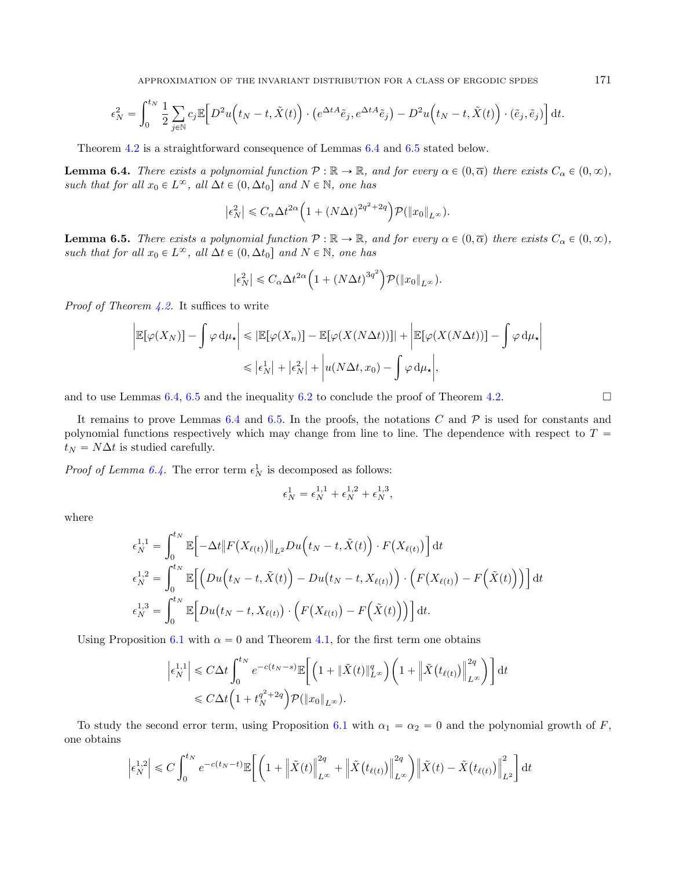APPROXIMATION OF THE INVARIANT DISTRIBUTION FOR A CLASS OF ERGODIC SPDES 171

$$
\epsilon_N^2 = \int_0^{t_N} \frac{1}{2} \sum_{j \in \mathbb{N}} c_j \mathbb{E} \Big[ D^2 u \Big( t_N - t, \tilde{X}(t) \Big) \cdot \left( e^{\Delta t A} \tilde{e}_j, e^{\Delta t A} \tilde{e}_j \right) - D^2 u \Big( t_N - t, \tilde{X}(t) \Big) \cdot (\tilde{e}_j, \tilde{e}_j) \Big] dt.
$$

Theorem [4.2](#page-9-0) is a straightforward consequence of Lemmas [6.4](#page-20-0) and [6.5](#page-20-1) stated below.

<span id="page-20-0"></span>**Lemma 6.4.** There exists a polynomial function  $P : \mathbb{R} \to \mathbb{R}$ , and for every  $\alpha \in (0, \overline{\alpha})$  there exists  $C_{\alpha} \in (0, \infty)$ , such that for all  $x_0 \in L^{\infty}$ , all  $\Delta t \in (0, \Delta t_0]$  and  $N \in \mathbb{N}$ , one has

$$
\left|\epsilon_N^2\right| \leq C_\alpha \Delta t^{2\alpha} \Big(1 + \left(N\Delta t\right)^{2q^2 + 2q}\Big) \mathcal{P}(\|x_0\|_{L^\infty}).
$$

<span id="page-20-1"></span>**Lemma 6.5.** There exists a polynomial function  $P : \mathbb{R} \to \mathbb{R}$ , and for every  $\alpha \in (0, \overline{\alpha})$  there exists  $C_{\alpha} \in (0, \infty)$ , such that for all  $x_0 \in L^{\infty}$ , all  $\Delta t \in (0, \Delta t_0]$  and  $N \in \mathbb{N}$ , one has

$$
\left|\epsilon_N^2\right| \leq C_\alpha \Delta t^{2\alpha} \left(1 + \left(N\Delta t\right)^{3q^2}\right) \mathcal{P}(\|x_0\|_{L^\infty}).
$$

*Proof of Theorem [4.2.](#page-9-0)* It suffices to write ˇ ˇ

$$
\left| \mathbb{E}[\varphi(X_N)] - \int \varphi \, \mathrm{d}\mu_\star \right| \leq \left| \mathbb{E}[\varphi(X_n)] - \mathbb{E}[\varphi(X(N\Delta t))] \right| + \left| \mathbb{E}[\varphi(X(N\Delta t))] - \int \varphi \, \mathrm{d}\mu_\star \right|
$$
  

$$
\leq \left| \epsilon_N^1 \right| + \left| \epsilon_N^2 \right| + \left| u(N\Delta t, x_0) - \int \varphi \, \mathrm{d}\mu_\star \right|,
$$

and to use Lemmas [6.4,](#page-20-0) [6.5](#page-20-1) and the inequality [6.2](#page-16-1) to conclude the proof of Theorem [4.2.](#page-9-0)

It remains to prove Lemmas [6.4](#page-20-0) and [6.5.](#page-20-1) In the proofs, the notations C and  $\mathcal P$  is used for constants and polynomial functions respectively which may change from line to line. The dependence with respect to  $T =$  $t_N = N\Delta t$  is studied carefully.

*Proof of Lemma [6.4.](#page-20-0)* The error term  $\epsilon_N^1$  is decomposed as follows:

$$
\epsilon_N^1 = \epsilon_N^{1,1} + \epsilon_N^{1,2} + \epsilon_N^{1,3},
$$

where

$$
\epsilon_N^{1,1} = \int_0^{t_N} \mathbb{E} \Big[ -\Delta t \big\| F(X_{\ell(t)}) \big\|_{L^2} Du(t_N - t, \tilde{X}(t)) \cdot F(X_{\ell(t)}) \Big] dt
$$
  
\n
$$
\epsilon_N^{1,2} = \int_0^{t_N} \mathbb{E} \Big[ \Big( Du(t_N - t, \tilde{X}(t)) - Du(t_N - t, X_{\ell(t)}) \Big) \cdot \Big( F(X_{\ell(t)}) - F(\tilde{X}(t)) \Big) \Big] dt
$$
  
\n
$$
\epsilon_N^{1,3} = \int_0^{t_N} \mathbb{E} \Big[ Du(t_N - t, X_{\ell(t)}) \cdot \Big( F(X_{\ell(t)}) - F(\tilde{X}(t)) \Big) \Big] dt.
$$

Using Proposition [6.1](#page-16-0) with  $\alpha = 0$  and Theorem [4.1,](#page-8-1) for the first term one obtains

$$
\left| \epsilon_N^{1,1} \right| \leq C \Delta t \int_0^{t_N} e^{-c(t_N - s)} \mathbb{E} \bigg[ \left( 1 + \| \tilde{X}(t) \|_{L^\infty}^q \right) \left( 1 + \left| \tilde{X}(t_{\ell(t)}) \right|_{L^\infty}^{2q} \right) \bigg] dt
$$
  

$$
\leq C \Delta t \left( 1 + t_N^{q^2 + 2q} \right) \mathcal{P}(\|x_0\|_{L^\infty}).
$$

To study the second error term, using Proposition [6.1](#page-16-0) with  $\alpha_1 = \alpha_2 = 0$  and the polynomial growth of F, one obtains "ˆ $\overline{a}$ 

$$
\left|\epsilon_N^{1,2}\right| \leq C \int_0^{t_N} e^{-c(t_N-t)} \mathbb{E}\bigg[\bigg(1+\left\|\tilde{X}(t)\right\|_{L^\infty}^{2q} + \left\|\tilde{X}(t_{\ell(t)})\right\|_{L^\infty}^{2q}\bigg)\left\|\tilde{X}(t) - \tilde{X}(t_{\ell(t)})\right\|_{L^2}^{2}\bigg] dt
$$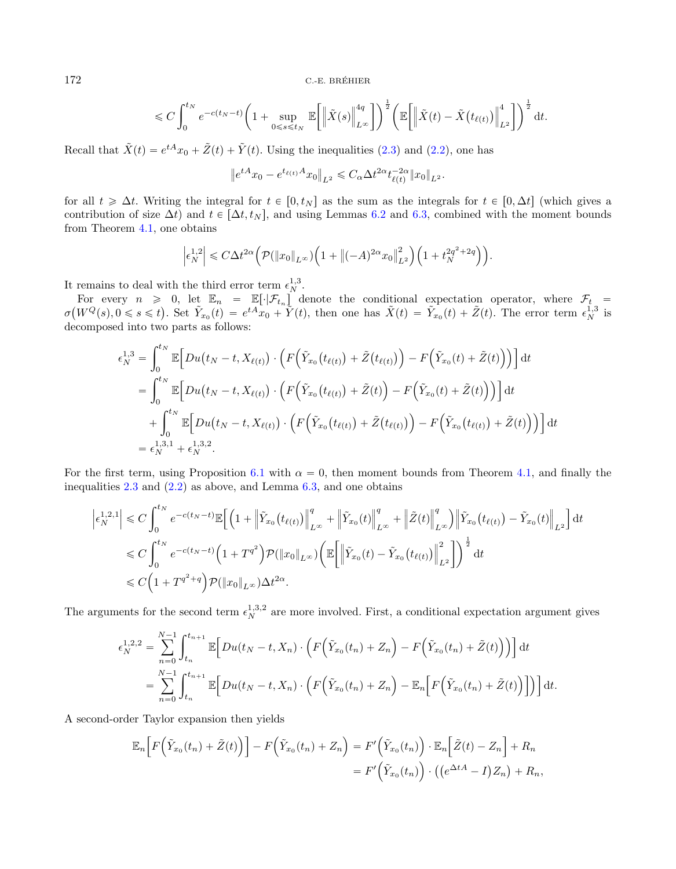$$
\leqslant C \int_0^{t_N} e^{-c(t_N-t)} \bigg(1+\sup_{0\leqslant s\leqslant t_N}\mathbb{E}\bigg[\Big\|\tilde{X}(s)\Big\|_{L^\infty}^{4q}\bigg]\bigg)^{\frac{1}{2}}\bigg(\mathbb{E}\bigg[\Big\|\tilde{X}(t)-\tilde{X}\big(t_{\ell(t)}\big)\Big\|_{L^2}^{4}\bigg]\bigg)^{\frac{1}{2}}\,\mathrm{d} t.
$$

Recall that  $\tilde{X}(t) = e^{tA}x_0 + \tilde{Z}(t) + \tilde{Y}(t)$ . Using the inequalities [\(2.3\)](#page-3-6) and [\(2.2\)](#page-3-1), one has

$$
\left\|e^{tA}x_0 - e^{t_{\ell(t)}A}x_0\right\|_{L^2} \leqslant C_\alpha \Delta t^{2\alpha} t_{\ell(t)}^{-2\alpha} \|x_0\|_{L^2}.
$$

for all  $t \geq \Delta t$ . Writing the integral for  $t \in [0, t_N]$  as the sum as the integrals for  $t \in [0, \Delta t]$  (which gives a contribution of size  $\Delta t$ ) and  $t \in [\Delta t, t_N]$ , and using Lemmas [6.2](#page-18-1) and [6.3,](#page-18-2) combined with the moment bounds from Theorem [4.1,](#page-8-1) one obtains

$$
\left|\epsilon_N^{1,2}\right| \leqslant C\Delta t^{2\alpha} \Big(\mathcal{P}(\|x_0\|_{L^\infty})\Big(1+\big\|(-A)^{2\alpha}x_0\big\|_{L^2}^2\Big)\Big(1+t_N^{2q^2+2q}\Big)\Big).
$$

It remains to deal with the third error term  $\epsilon_N^{1,3}$ .

For every  $n \geq 0$ , let  $\mathbb{E}_n = \mathbb{E}[\cdot|\mathcal{F}_{t_n}]$  denote the conditional expectation operator, where  $\mathcal{F}_{t_n}$  $\sigma$ `  $W^Q(s), 0 \leqslant s \leqslant t$ 0, let  $\mathbb{E}_n = \mathbb{E}[\cdot|\mathcal{F}_{t_n}]$  denote the conditional expectation operator, where  $\mathcal{F}_t =$ <br>
). Set  $\tilde{Y}_{x_0}(t) = e^{tA}x_0 + \tilde{Y}(t)$ , then one has  $\tilde{X}(t) = \tilde{Y}_{x_0}(t) + \tilde{Z}(t)$ . The error term  $\epsilon_N^{1,3}$  is decomposed into two parts as follows:

$$
\epsilon_N^{1,3} = \int_0^{t_N} \mathbb{E} \Big[ Du(t_N - t, X_{\ell(t)}) \cdot \Big( F(\tilde{Y}_{x_0}(t_{\ell(t)}) + \tilde{Z}(t_{\ell(t)}) \Big) - F(\tilde{Y}_{x_0}(t) + \tilde{Z}(t)) \Big) \Big] dt
$$
  
\n
$$
= \int_0^{t_N} \mathbb{E} \Big[ Du(t_N - t, X_{\ell(t)}) \cdot \Big( F(\tilde{Y}_{x_0}(t_{\ell(t)}) + \tilde{Z}(t)) - F(\tilde{Y}_{x_0}(t) + \tilde{Z}(t)) \Big) \Big] dt
$$
  
\n
$$
+ \int_0^{t_N} \mathbb{E} \Big[ Du(t_N - t, X_{\ell(t)}) \cdot \Big( F(\tilde{Y}_{x_0}(t_{\ell(t)}) + \tilde{Z}(t_{\ell(t)}) \Big) - F(\tilde{Y}_{x_0}(t_{\ell(t)}) + \tilde{Z}(t)) \Big) \Big] dt
$$
  
\n
$$
= \epsilon_N^{1,3,1} + \epsilon_N^{1,3,2}.
$$

For the first term, using Proposition [6.1](#page-16-0) with  $\alpha = 0$ , then moment bounds from Theorem [4.1,](#page-8-1) and finally the inequalities  $2.3$  and  $(2.2)$  as above, and Lemma  $6.3$ , and one obtains

$$
\left| \epsilon_N^{1,2,1} \right| \leq C \int_0^{t_N} e^{-c(t_N - t)} \mathbb{E} \Big[ \Big( 1 + \Big| \tilde{Y}_{x_0}(t_{\ell(t)}) \Big|_{L^{\infty}}^q + \Big| \tilde{Y}_{x_0}(t) \Big|_{L^{\infty}}^q + \Big| \tilde{Z}(t) \Big|_{L^{\infty}}^q \Big) \Big| \tilde{Y}_{x_0}(t_{\ell(t)}) - \tilde{Y}_{x_0}(t) \Big|_{L^2} \Big] dt
$$
  
\n
$$
\leq C \int_0^{t_N} e^{-c(t_N - t)} \Big( 1 + T^{q^2} \Big) \mathcal{P}(\|x_0\|_{L^{\infty}}) \Big( \mathbb{E} \Big[ \Big| \tilde{Y}_{x_0}(t) - \tilde{Y}_{x_0}(t_{\ell(t)}) \Big|_{L^2}^q \Big] \Big)^{\frac{1}{2}} dt
$$
  
\n
$$
\leq C \Big( 1 + T^{q^2 + q} \Big) \mathcal{P}(\|x_0\|_{L^{\infty}}) \Delta t^{2\alpha}.
$$

The arguments for the second term  $\epsilon_N^{1,3,2}$  are more involved. First, a conditional expectation argument gives

$$
\epsilon_N^{1,2,2} = \sum_{n=0}^{N-1} \int_{t_n}^{t_{n+1}} \mathbb{E} \Big[ Du(t_N - t, X_n) \cdot \Big( F(\tilde{Y}_{x_0}(t_n) + Z_n) - F(\tilde{Y}_{x_0}(t_n) + \tilde{Z}(t)) \Big) \Big] dt \n= \sum_{n=0}^{N-1} \int_{t_n}^{t_{n+1}} \mathbb{E} \Big[ Du(t_N - t, X_n) \cdot \Big( F(\tilde{Y}_{x_0}(t_n) + Z_n) - \mathbb{E}_n \Big[ F(\tilde{Y}_{x_0}(t_n) + \tilde{Z}(t)) \Big] \Big) \Big] dt.
$$

A second-order Taylor expansion then yields

$$
\mathbb{E}_n\Big[F\Big(\tilde{Y}_{x_0}(t_n)+\tilde{Z}(t)\Big)\Big]-F\Big(\tilde{Y}_{x_0}(t_n)+Z_n\Big)=F'\Big(\tilde{Y}_{x_0}(t_n)\Big)\cdot\mathbb{E}_n\Big[\tilde{Z}(t)-Z_n\Big]+R_n=F'\Big(\tilde{Y}_{x_0}(t_n)\Big)\cdot\big((e^{\Delta t A}-I)Z_n\big)+R_n,
$$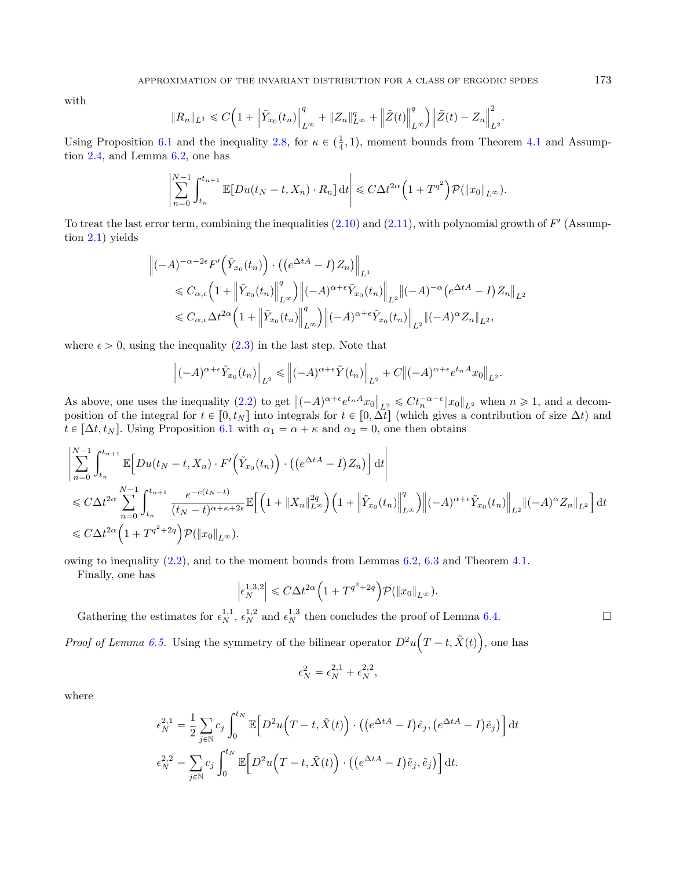with

$$
\|R_n\|_{L^1} \leq C\Big(1+\Big\|\tilde{Y}_{x_0}(t_n)\Big\|_{L^\infty}^q+\|Z_n\|_{L^\infty}^q+\Big\|\tilde{Z}(t)\Big\|_{L^\infty}^q\Big)\Big\|\tilde{Z}(t)-Z_n\Big\|_{L^2}^2.
$$

Using Proposition [6.1](#page-16-0) and the inequality [2.8,](#page-3-2) for  $\kappa \in (\frac{1}{4}, 1)$ , moment bounds from Theorem [4.1](#page-8-1) and Assumption [2.4,](#page-5-6) and Lemma [6.2,](#page-18-1) one has

ˇ

$$
\left|\sum_{n=0}^{N-1} \int_{t_n}^{t_{n+1}} \mathbb{E}[Du(t_N-t, X_n)\cdot R_n] dt\right| \leq C\Delta t^{2\alpha} \left(1+T^{q^2}\right) \mathcal{P}(\|x_0\|_{L^\infty}).
$$

To treat the last error term, combining the inequalities  $(2.10)$  and  $(2.11)$ , with polynomial growth of  $F'$  (Assumption [2.1\)](#page-4-1) yields

$$
\|(-A)^{-\alpha-2\epsilon} F'\left(\tilde{Y}_{x_0}(t_n)\right) \cdot \left( (e^{\Delta t A} - I)Z_n \right) \|_{L^1}
$$
  
\$\leqslant C\_{\alpha,\epsilon} \left(1 + \left\|\tilde{Y}\_{x\_0}(t\_n)\right\|\_{L^{\infty}}^q \right) \left\| (-A)^{\alpha+\epsilon} \tilde{Y}\_{x\_0}(t\_n) \right\|\_{L^2} \left\| (-A)^{-\alpha} \left( e^{\Delta t A} - I \right) Z\_n \right\|\_{L^2}\$  
\$\leqslant C\_{\alpha,\epsilon} \Delta t^{2\alpha} \left(1 + \left\|\tilde{Y}\_{x\_0}(t\_n)\right\|\_{L^{\infty}}^q \right) \left\| (-A)^{\alpha+\epsilon} \tilde{Y}\_{x\_0}(t\_n) \right\|\_{L^2} \left\| (-A)^{\alpha} Z\_n \right\|\_{L^2}\$,

where  $\epsilon > 0$ , using the inequality [\(2.3\)](#page-3-6) in the last step. Note that

ˇ

$$
\left\| (-A)^{\alpha+\epsilon} \tilde{Y}_{x_0}(t_n) \right\|_{L^2} \leq \left\| (-A)^{\alpha+\epsilon} \tilde{Y}(t_n) \right\|_{L^2} + C \left\| (-A)^{\alpha+\epsilon} e^{t_n A} x_0 \right\|_{L^2}.
$$

As above, one uses the inequality [\(2.2\)](#page-3-1) to get  $\Vert (-A)^{\alpha+\epsilon}e^{t_n A}x_0$  $\Vert_{L^2} \leqslant C t_n^{-\alpha-\epsilon} \Vert x_0 \Vert_{L^2}$  when  $n \geqslant 1$ , and a decomposition of the integral for  $t \in [0, t_N]$  into integrals for  $t \in [0, \Delta t]$  (which gives a contribution of size  $\Delta t$ ) and  $t \in [\Delta t, t_N]$ . Using Proposition [6.1](#page-16-0) with  $\alpha_1 = \alpha + \kappa$  and  $\alpha_2 = 0$ , one then obtains

$$
\begin{split}\n&\left|\sum_{n=0}^{N-1} \int_{t_n}^{t_{n+1}} \mathbb{E}\Big[Du(t_N-t, X_n) \cdot F'\Big(\tilde{Y}_{x_0}(t_n)\Big) \cdot \left(\left(e^{\Delta t A}-I\right)Z_n\right)\Big] dt\right| \\
&\leqslant C\Delta t^{2\alpha} \sum_{n=0}^{N-1} \int_{t_n}^{t_{n+1}} \frac{e^{-c(t_N-t)}}{(t_N-t)^{\alpha+\kappa+2\epsilon}} \mathbb{E}\Big[\Big(1+\|X_n\|_{L^\infty}^{2q}\Big)\Big(1+\Big\|\tilde{Y}_{x_0}(t_n)\Big\|_{L^\infty}^q\Big)\Big\|(-A)^{\alpha+\epsilon}\tilde{Y}_{x_0}(t_n)\Big\|_{L^2}\|(-A)^\alpha Z_n\|_{L^2}\Big] dt \\
&\leqslant C\Delta t^{2\alpha} \Big(1+T^{q^2+2q}\Big) \mathcal{P}(\|x_0\|_{L^\infty}).\n\end{split}
$$

owing to inequality [\(2.2\)](#page-3-1), and to the moment bounds from Lemmas [6.2,](#page-18-1) [6.3](#page-18-2) and Theorem [4.1.](#page-8-1)

Finally, one has

$$
\left|\epsilon_N^{1,3,2}\right| \leqslant C\Delta t^{2\alpha} \left(1+T^{q^2+2q}\right) \mathcal{P}(\|x_0\|_{L^\infty}).
$$

Gathering the estimates for  $\epsilon_N^{1,1}$ ,  $\epsilon_N^{1,2}$  and  $\epsilon_N^{1,3}$  then concludes the proof of Lemma [6.4.](#page-20-0)  $\mathbf{r}$ ¯

*Proof of Lemma [6.5.](#page-20-1)* Using the symmetry of the bilinear operator  $D^2u$  $T-t, \tilde{X}(t)$ , one has

$$
\epsilon_N^2=\epsilon_N^{2,1}+\epsilon_N^{2,2},
$$

where

$$
\epsilon_N^{2,1} = \frac{1}{2} \sum_{j \in \mathbb{N}} c_j \int_0^{t_N} \mathbb{E} \Big[ D^2 u \Big( T - t, \tilde{X}(t) \Big) \cdot \left( \left( e^{\Delta t A} - I \right) \tilde{e}_j, \left( e^{\Delta t A} - I \right) \tilde{e}_j \right) \Big] dt
$$
  

$$
\epsilon_N^{2,2} = \sum_{j \in \mathbb{N}} c_j \int_0^{t_N} \mathbb{E} \Big[ D^2 u \Big( T - t, \tilde{X}(t) \Big) \cdot \left( \left( e^{\Delta t A} - I \right) \tilde{e}_j, \tilde{e}_j \right) \Big] dt.
$$

$$
\Box
$$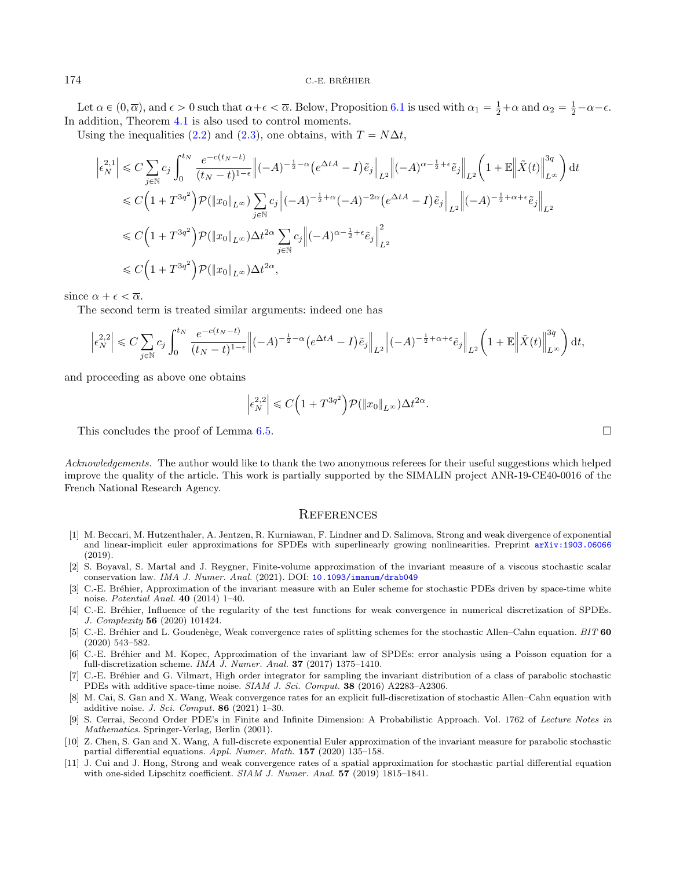Let  $\alpha \in (0, \overline{\alpha})$ , and  $\epsilon > 0$  such that  $\alpha + \epsilon < \overline{\alpha}$ . Below, Proposition [6.1](#page-16-0) is used with  $\alpha_1 = \frac{1}{2} + \alpha$  and  $\alpha_2 = \frac{1}{2} - \alpha - \epsilon$ . In addition, Theorem [4.1](#page-8-1) is also used to control moments.

Using the inequalities [\(2.2\)](#page-3-1) and [\(2.3\)](#page-3-6), one obtains, with  $T = N\Delta t$ ,

$$
\begin{split} \left| \epsilon_N^{2,1} \right| &\leqslant C \sum_{j\in\mathbb{N}} c_j \int_0^{t_N} \frac{e^{-c(t_N-t)}}{(t_N-t)^{1-\epsilon}} \Big\| (-A)^{-\frac{1}{2}-\alpha} \big( e^{\Delta t A} - I \big) \tilde{e}_j \Big\|_{L^2} \Big\| (-A)^{\alpha-\frac{1}{2}+\epsilon} \tilde{e}_j \Big\|_{L^2} \bigg( 1+\mathbb{E} \Big\| \tilde{X}(t) \Big\|_{L^\infty}^{3q} \bigg) \,\mathrm{d} t \\ &\leqslant C \Big( 1+T^{3q^2} \Big) \mathcal{P}(\|x_0\|_{L^\infty}) \sum_{j\in\mathbb{N}} c_j \Big\| (-A)^{-\frac{1}{2}+\alpha} (-A)^{-2\alpha} \big( e^{\Delta t A} - I \big) \tilde{e}_j \Big\|_{L^2} \Big\| (-A)^{-\frac{1}{2}+\alpha+\epsilon} \tilde{e}_j \Big\|_{L^2} \\ &\leqslant C \Big( 1+T^{3q^2} \Big) \mathcal{P}(\|x_0\|_{L^\infty}) \Delta t^{2\alpha} \sum_{j\in\mathbb{N}} c_j \Big\| (-A)^{\alpha-\frac{1}{2}+\epsilon} \tilde{e}_j \Big\|_{L^2}^2 \\ &\leqslant C \Big( 1+T^{3q^2} \Big) \mathcal{P}(\|x_0\|_{L^\infty}) \Delta t^{2\alpha}, \end{split}
$$

since  $\alpha + \epsilon < \overline{\alpha}$ .

The second term is treated similar arguments: indeed one has

$$
\left|\epsilon_N^{2,2}\right|\leqslant C\sum_{j\in\mathbb{N}}c_j\int_0^{t_N}\frac{e^{-c(t_N-t)}}{(t_N-t)^{1-\epsilon}}\Big\|(-A)^{-\frac{1}{2}-\alpha}\big(e^{\Delta t A}-I\big)\tilde{e}_j\Big\|_{L^2}\Big\|(-A)^{-\frac{1}{2}+\alpha+\epsilon}\tilde{e}_j\Big\|_{L^2}\bigg(1+\mathbb{E}\Big\|\tilde{X}(t)\Big\|_{L^\infty}^{3q}\bigg)\,\mathrm{d} t,
$$

<span id="page-23-8"></span>and proceeding as above one obtains

$$
\left|\epsilon_N^{2,2}\right| \leqslant C\Big(1+T^{3q^2}\Big)\mathcal{P}(\|x_0\|_{L^\infty})\Delta t^{2\alpha}.
$$

<span id="page-23-1"></span><span id="page-23-0"></span>This concludes the proof of Lemma [6.5.](#page-20-1)

<span id="page-23-10"></span><span id="page-23-5"></span><span id="page-23-2"></span>Acknowledgements. The author would like to thank the two anonymous referees for their useful suggestions which helped improve the quality of the article. This work is partially supported by the SIMALIN project ANR-19-CE40-0016 of the French National Research Agency.

## **REFERENCES**

- <span id="page-23-6"></span><span id="page-23-4"></span>[1] M. Beccari, M. Hutzenthaler, A. Jentzen, R. Kurniawan, F. Lindner and D. Salimova, Strong and weak divergence of exponential and linear-implicit euler approximations for SPDEs with superlinearly growing nonlinearities. Preprint  $arXiv:1903.06066$  $(2019)$
- <span id="page-23-9"></span>[2] S. Boyaval, S. Martal and J. Reygner, Finite-volume approximation of the invariant measure of a viscous stochastic scalar conservation law. IMA J. Numer. Anal. (2021). DOI: [10.1093/imanum/drab049](https://doi.org/10.1093/imanum/drab049)
- <span id="page-23-3"></span>[3] C.-E. Bréhier, Approximation of the invariant measure with an Euler scheme for stochastic PDEs driven by space-time white noise. Potential Anal. 40 (2014) 1–40.
- <span id="page-23-7"></span>[4] C.-E. Bréhier, Influence of the regularity of the test functions for weak convergence in numerical discretization of SPDEs. J. Complexity 56 (2020) 101424.
- [5] C.-E. Bréhier and L. Goudenège, Weak convergence rates of splitting schemes for the stochastic Allen–Cahn equation. BIT 60 (2020) 543–582.
- [6] C.-E. Br´ehier and M. Kopec, Approximation of the invariant law of SPDEs: error analysis using a Poisson equation for a full-discretization scheme. IMA J. Numer. Anal. 37 (2017) 1375–1410.
- [7] C.-E. Bréhier and G. Vilmart, High order integrator for sampling the invariant distribution of a class of parabolic stochastic PDEs with additive space-time noise. SIAM J. Sci. Comput. 38 (2016) A2283–A2306.
- [8] M. Cai, S. Gan and X. Wang, Weak convergence rates for an explicit full-discretization of stochastic Allen–Cahn equation with additive noise. J. Sci. Comput. 86 (2021) 1–30.
- [9] S. Cerrai, Second Order PDE's in Finite and Infinite Dimension: A Probabilistic Approach. Vol. 1762 of Lecture Notes in Mathematics. Springer-Verlag, Berlin (2001).
- [10] Z. Chen, S. Gan and X. Wang, A full-discrete exponential Euler approximation of the invariant measure for parabolic stochastic partial differential equations. Appl. Numer. Math. 157 (2020) 135–158.
- [11] J. Cui and J. Hong, Strong and weak convergence rates of a spatial approximation for stochastic partial differential equation with one-sided Lipschitz coefficient. SIAM J. Numer. Anal.  $57$  (2019) 1815–1841.